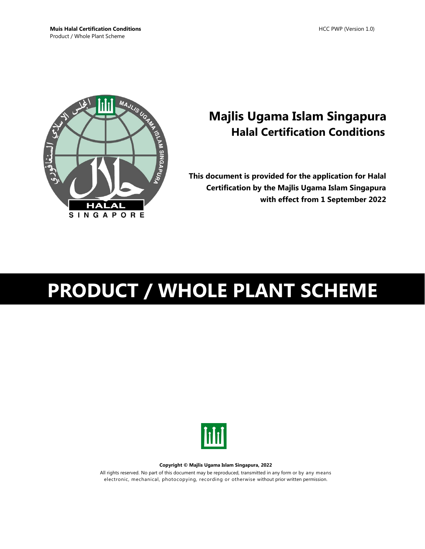

## **Majlis Ugama Islam Singapura Halal Certification Conditions**

**This document is provided for the application for Halal Certification by the Majlis Ugama Islam Singapura with effect from 1 September 2022**

# **PRODUCT / WHOLE PLANT SCHEME**



**Copyright © Majlis Ugama Islam Singapura, 2022**

All rights reserved. No part of this document may be reproduced, transmitted in any form or by any means electronic, mechanical, photocopying, recording or otherwise without prior written permission.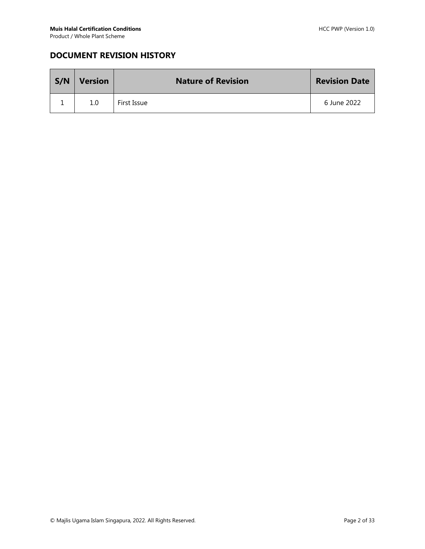## **DOCUMENT REVISION HISTORY**

| S/N | <b>Version</b> | <b>Nature of Revision</b> | <b>Revision Date</b> |
|-----|----------------|---------------------------|----------------------|
|     | 1.0            | First Issue               | 6 June 2022          |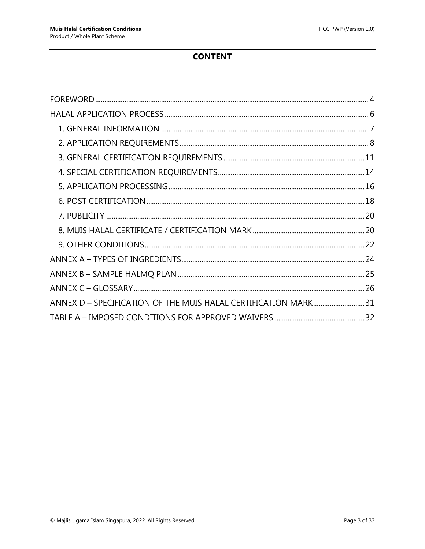## **CONTENT**

| ANNEX D - SPECIFICATION OF THE MUIS HALAL CERTIFICATION MARK31 |  |
|----------------------------------------------------------------|--|
|                                                                |  |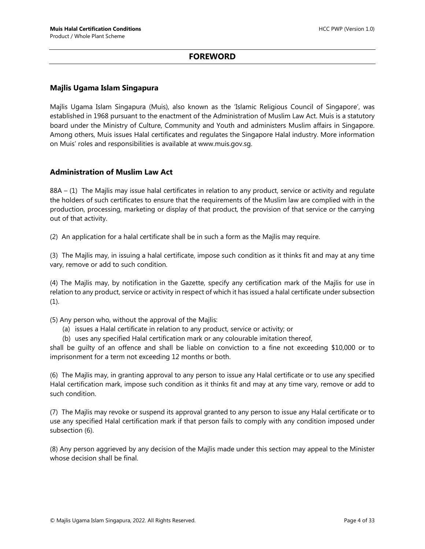#### **FOREWORD**

#### <span id="page-3-0"></span>**Majlis Ugama Islam Singapura**

Majlis Ugama Islam Singapura (Muis), also known as the 'Islamic Religious Council of Singapore', was established in 1968 pursuant to the enactment of the Administration of Muslim Law Act. Muis is a statutory board under the Ministry of Culture, Community and Youth and administers Muslim affairs in Singapore. Among others, Muis issues Halal certificates and regulates the Singapore Halal industry. More information on Muis' roles and responsibilities is available at www.muis.gov.sg.

#### **Administration of Muslim Law Act**

88A – (1) The Majlis may issue halal certificates in relation to any product, service or activity and regulate the holders of such certificates to ensure that the requirements of the Muslim law are complied with in the production, processing, marketing or display of that product, the provision of that service or the carrying out of that activity.

(2) An application for a halal certificate shall be in such a form as the Majlis may require.

(3) The Majlis may, in issuing a halal certificate, impose such condition as it thinks fit and may at any time vary, remove or add to such condition.

(4) The Majlis may, by notification in the Gazette, specify any certification mark of the Majlis for use in relation to any product, service or activity in respect of which it has issued a halal certificate under subsection (1).

(5) Any person who, without the approval of the Majlis:

- (a) issues a Halal certificate in relation to any product, service or activity; or
- (b) uses any specified Halal certification mark or any colourable imitation thereof,

shall be guilty of an offence and shall be liable on conviction to a fine not exceeding \$10,000 or to imprisonment for a term not exceeding 12 months or both.

(6) The Majlis may, in granting approval to any person to issue any Halal certificate or to use any specified Halal certification mark, impose such condition as it thinks fit and may at any time vary, remove or add to such condition.

(7) The Majlis may revoke or suspend its approval granted to any person to issue any Halal certificate or to use any specified Halal certification mark if that person fails to comply with any condition imposed under subsection (6).

(8) Any person aggrieved by any decision of the Majlis made under this section may appeal to the Minister whose decision shall be final.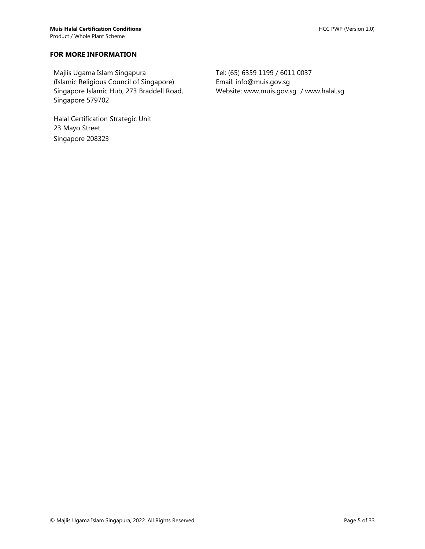#### **FOR MORE INFORMATION**

Majlis Ugama Islam Singapura (Islamic Religious Council of Singapore) Singapore Islamic Hub, 273 Braddell Road, Singapore 579702

Halal Certification Strategic Unit 23 Mayo Street Singapore 208323

Tel: (65) 6359 1199 / 6011 0037 Email: info@muis.gov.sg Website: www.muis.gov.sg / www.halal.sg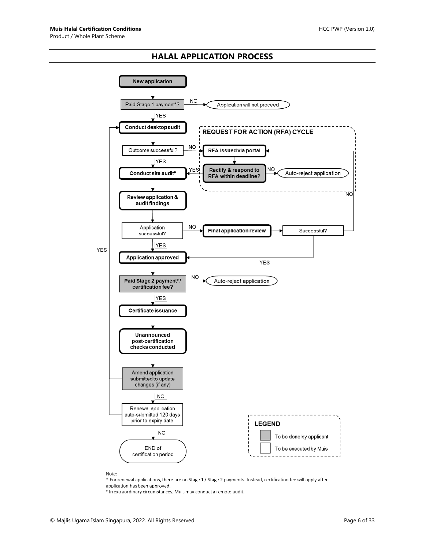#### **HALAL APPLICATION PROCESS**

<span id="page-5-0"></span>

Note:

\* For renewal applications, there are no Stage 1 / Stage 2 payments. Instead, certification fee will apply after application has been approved.

# In extraordinary circumstances, Muis may conduct a remote audit.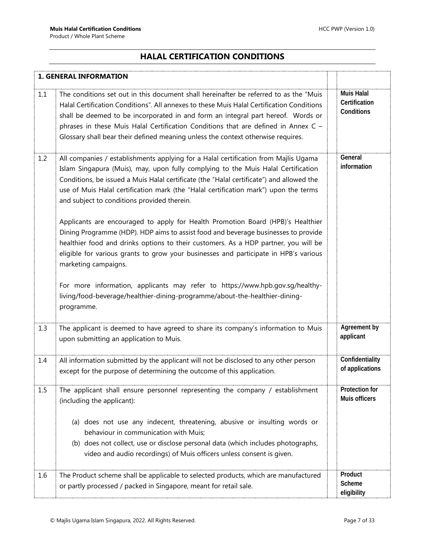## **HALAL CERTIFICATION CONDITIONS**

<span id="page-6-0"></span>

|     | <b>1. GENERAL INFORMATION</b>                                                                                                                                                                                                                                                                                                                                                                                                                                                                                                                                                                                                                                                                                                                                                                                                                                                                                                                                             |                                                  |
|-----|---------------------------------------------------------------------------------------------------------------------------------------------------------------------------------------------------------------------------------------------------------------------------------------------------------------------------------------------------------------------------------------------------------------------------------------------------------------------------------------------------------------------------------------------------------------------------------------------------------------------------------------------------------------------------------------------------------------------------------------------------------------------------------------------------------------------------------------------------------------------------------------------------------------------------------------------------------------------------|--------------------------------------------------|
| 1.1 | The conditions set out in this document shall hereinafter be referred to as the "Muis"<br>Halal Certification Conditions". All annexes to these Muis Halal Certification Conditions<br>shall be deemed to be incorporated in and form an integral part hereof. Words or<br>phrases in these Muis Halal Certification Conditions that are defined in Annex C -<br>Glossary shall bear their defined meaning unless the context otherwise requires.                                                                                                                                                                                                                                                                                                                                                                                                                                                                                                                         | <b>Muis Halal</b><br>Certification<br>Conditions |
| 1.2 | All companies / establishments applying for a Halal certification from Majlis Ugama<br>Islam Singapura (Muis), may, upon fully complying to the Muis Halal Certification<br>Conditions, be issued a Muis Halal certificate (the "Halal certificate") and allowed the<br>use of Muis Halal certification mark (the "Halal certification mark") upon the terms<br>and subject to conditions provided therein.<br>Applicants are encouraged to apply for Health Promotion Board (HPB)'s Healthier<br>Dining Programme (HDP). HDP aims to assist food and beverage businesses to provide<br>healthier food and drinks options to their customers. As a HDP partner, you will be<br>eligible for various grants to grow your businesses and participate in HPB's various<br>marketing campaigns.<br>For more information, applicants may refer to https://www.hpb.gov.sg/healthy-<br>living/food-beverage/healthier-dining-programme/about-the-healthier-dining-<br>programme. | General<br>information                           |
| 1.3 | The applicant is deemed to have agreed to share its company's information to Muis<br>upon submitting an application to Muis.                                                                                                                                                                                                                                                                                                                                                                                                                                                                                                                                                                                                                                                                                                                                                                                                                                              | Agreement by<br>applicant                        |
| 1.4 | All information submitted by the applicant will not be disclosed to any other person<br>except for the purpose of determining the outcome of this application.                                                                                                                                                                                                                                                                                                                                                                                                                                                                                                                                                                                                                                                                                                                                                                                                            | Confidentiality<br>of applications               |
| 1.5 | The applicant shall ensure personnel representing the company / establishment<br>(including the applicant):<br>(a) does not use any indecent, threatening, abusive or insulting words or<br>behaviour in communication with Muis;<br>(b) does not collect, use or disclose personal data (which includes photographs,<br>video and audio recordings) of Muis officers unless consent is given.                                                                                                                                                                                                                                                                                                                                                                                                                                                                                                                                                                            | <b>Protection for</b><br>Muis officers           |
| 1.6 | The Product scheme shall be applicable to selected products, which are manufactured<br>or partly processed / packed in Singapore, meant for retail sale.                                                                                                                                                                                                                                                                                                                                                                                                                                                                                                                                                                                                                                                                                                                                                                                                                  | Product<br>Scheme<br>eligibility                 |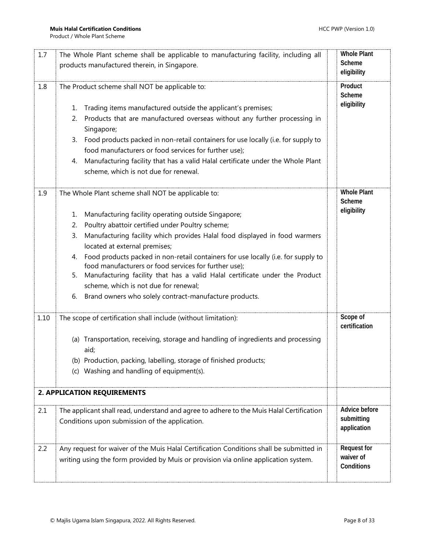<span id="page-7-0"></span>

| 1.7  | The Whole Plant scheme shall be applicable to manufacturing facility, including all<br>products manufactured therein, in Singapore.                                                                                                                                                                                                                                                                                                                                                                                                                                                                                                              | <b>Whole Plant</b><br>Scheme<br>eligibility   |
|------|--------------------------------------------------------------------------------------------------------------------------------------------------------------------------------------------------------------------------------------------------------------------------------------------------------------------------------------------------------------------------------------------------------------------------------------------------------------------------------------------------------------------------------------------------------------------------------------------------------------------------------------------------|-----------------------------------------------|
| 1.8  | The Product scheme shall NOT be applicable to:<br>Trading items manufactured outside the applicant's premises;<br>1.<br>Products that are manufactured overseas without any further processing in<br>2.<br>Singapore;<br>Food products packed in non-retail containers for use locally (i.e. for supply to<br>3.<br>food manufacturers or food services for further use);<br>Manufacturing facility that has a valid Halal certificate under the Whole Plant<br>4.<br>scheme, which is not due for renewal.                                                                                                                                      | Product<br>Scheme<br>eligibility              |
| 1.9  | The Whole Plant scheme shall NOT be applicable to:<br>Manufacturing facility operating outside Singapore;<br>1.<br>Poultry abattoir certified under Poultry scheme;<br>2.<br>Manufacturing facility which provides Halal food displayed in food warmers<br>3.<br>located at external premises;<br>Food products packed in non-retail containers for use locally (i.e. for supply to<br>4.<br>food manufacturers or food services for further use);<br>Manufacturing facility that has a valid Halal certificate under the Product<br>5.<br>scheme, which is not due for renewal;<br>Brand owners who solely contract-manufacture products.<br>6. | <b>Whole Plant</b><br>Scheme<br>eligibility   |
| 1.10 | The scope of certification shall include (without limitation):<br>(a) Transportation, receiving, storage and handling of ingredients and processing<br>aid;<br>(b) Production, packing, labelling, storage of finished products;<br>(c) Washing and handling of equipment(s).<br>2. APPLICATION REQUIREMENTS                                                                                                                                                                                                                                                                                                                                     | Scope of<br>certification                     |
| 2.1  | The applicant shall read, understand and agree to adhere to the Muis Halal Certification<br>Conditions upon submission of the application.                                                                                                                                                                                                                                                                                                                                                                                                                                                                                                       | Advice before<br>submitting<br>application    |
| 2.2  | Any request for waiver of the Muis Halal Certification Conditions shall be submitted in<br>writing using the form provided by Muis or provision via online application system.                                                                                                                                                                                                                                                                                                                                                                                                                                                                   | <b>Request for</b><br>waiver of<br>Conditions |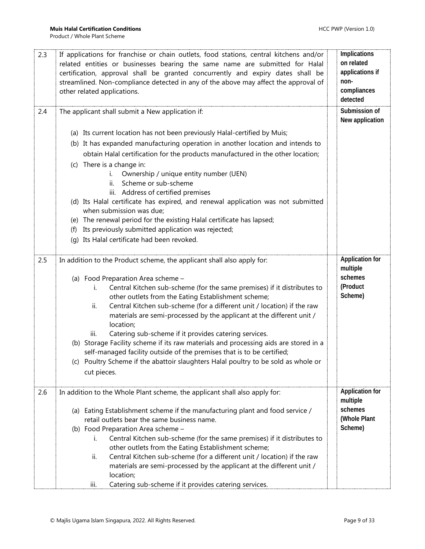| 2.3 | If applications for franchise or chain outlets, food stations, central kitchens and/or<br>related entities or businesses bearing the same name are submitted for Halal<br>certification, approval shall be granted concurrently and expiry dates shall be<br>streamlined. Non-compliance detected in any of the above may affect the approval of<br>other related applications. | Implications<br>on related<br>applications if<br>non-<br>compliances<br>detected |
|-----|---------------------------------------------------------------------------------------------------------------------------------------------------------------------------------------------------------------------------------------------------------------------------------------------------------------------------------------------------------------------------------|----------------------------------------------------------------------------------|
| 2.4 | The applicant shall submit a New application if:                                                                                                                                                                                                                                                                                                                                | Submission of<br>New application                                                 |
|     | (a) Its current location has not been previously Halal-certified by Muis;                                                                                                                                                                                                                                                                                                       |                                                                                  |
|     | (b) It has expanded manufacturing operation in another location and intends to                                                                                                                                                                                                                                                                                                  |                                                                                  |
|     | obtain Halal certification for the products manufactured in the other location;                                                                                                                                                                                                                                                                                                 |                                                                                  |
|     | (c) There is a change in:                                                                                                                                                                                                                                                                                                                                                       |                                                                                  |
|     | Ownership / unique entity number (UEN)                                                                                                                                                                                                                                                                                                                                          |                                                                                  |
|     | Scheme or sub-scheme<br>ii.                                                                                                                                                                                                                                                                                                                                                     |                                                                                  |
|     | iii. Address of certified premises<br>(d) Its Halal certificate has expired, and renewal application was not submitted                                                                                                                                                                                                                                                          |                                                                                  |
|     | when submission was due;                                                                                                                                                                                                                                                                                                                                                        |                                                                                  |
|     | (e) The renewal period for the existing Halal certificate has lapsed;                                                                                                                                                                                                                                                                                                           |                                                                                  |
|     | Its previously submitted application was rejected;<br>(f)                                                                                                                                                                                                                                                                                                                       |                                                                                  |
|     | (g) Its Halal certificate had been revoked.                                                                                                                                                                                                                                                                                                                                     |                                                                                  |
| 2.5 | In addition to the Product scheme, the applicant shall also apply for:                                                                                                                                                                                                                                                                                                          | <b>Application for</b>                                                           |
|     |                                                                                                                                                                                                                                                                                                                                                                                 | multiple<br>schemes                                                              |
|     | (a) Food Preparation Area scheme -                                                                                                                                                                                                                                                                                                                                              | (Product                                                                         |
|     | Central Kitchen sub-scheme (for the same premises) if it distributes to<br>İ.<br>other outlets from the Eating Establishment scheme;                                                                                                                                                                                                                                            | Scheme)                                                                          |
|     | Central Kitchen sub-scheme (for a different unit / location) if the raw<br>ii.                                                                                                                                                                                                                                                                                                  |                                                                                  |
|     | materials are semi-processed by the applicant at the different unit /<br>location;                                                                                                                                                                                                                                                                                              |                                                                                  |
|     | Catering sub-scheme if it provides catering services.<br>iii.                                                                                                                                                                                                                                                                                                                   |                                                                                  |
|     | (b) Storage Facility scheme if its raw materials and processing aids are stored in a                                                                                                                                                                                                                                                                                            |                                                                                  |
|     | self-managed facility outside of the premises that is to be certified;                                                                                                                                                                                                                                                                                                          |                                                                                  |
|     | (c) Poultry Scheme if the abattoir slaughters Halal poultry to be sold as whole or                                                                                                                                                                                                                                                                                              |                                                                                  |
|     | cut pieces.                                                                                                                                                                                                                                                                                                                                                                     |                                                                                  |
| 2.6 | In addition to the Whole Plant scheme, the applicant shall also apply for:                                                                                                                                                                                                                                                                                                      | <b>Application for</b><br>multiple                                               |
|     | (a) Eating Establishment scheme if the manufacturing plant and food service /                                                                                                                                                                                                                                                                                                   | schemes                                                                          |
|     | retail outlets bear the same business name.                                                                                                                                                                                                                                                                                                                                     | (Whole Plant                                                                     |
|     | (b) Food Preparation Area scheme -                                                                                                                                                                                                                                                                                                                                              | Scheme)                                                                          |
|     | Central Kitchen sub-scheme (for the same premises) if it distributes to<br>ı.                                                                                                                                                                                                                                                                                                   |                                                                                  |
|     | other outlets from the Eating Establishment scheme;                                                                                                                                                                                                                                                                                                                             |                                                                                  |
|     | Central Kitchen sub-scheme (for a different unit / location) if the raw<br>ii.                                                                                                                                                                                                                                                                                                  |                                                                                  |
|     | materials are semi-processed by the applicant at the different unit /                                                                                                                                                                                                                                                                                                           |                                                                                  |
|     | location;                                                                                                                                                                                                                                                                                                                                                                       |                                                                                  |
|     | Catering sub-scheme if it provides catering services.<br>iii.                                                                                                                                                                                                                                                                                                                   |                                                                                  |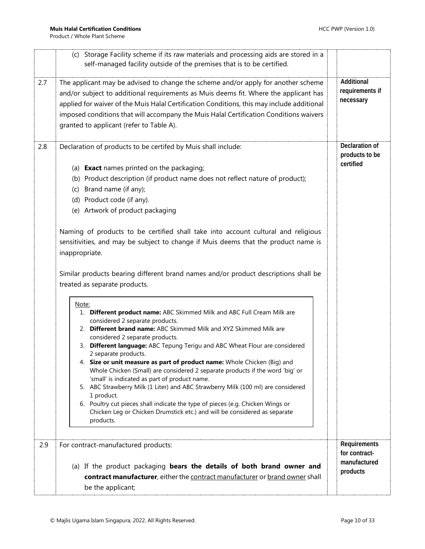|     | (c) Storage Facility scheme if its raw materials and processing aids are stored in a<br>self-managed facility outside of the premises that is to be certified.                                                                                                                                                                                                                                                                                                                                                                                                                                                                                                                                                                                                                                                                                                                                                                                                                                                                                                                                                                                                                                                                                                                                                                                                                                                                                           |                                               |
|-----|----------------------------------------------------------------------------------------------------------------------------------------------------------------------------------------------------------------------------------------------------------------------------------------------------------------------------------------------------------------------------------------------------------------------------------------------------------------------------------------------------------------------------------------------------------------------------------------------------------------------------------------------------------------------------------------------------------------------------------------------------------------------------------------------------------------------------------------------------------------------------------------------------------------------------------------------------------------------------------------------------------------------------------------------------------------------------------------------------------------------------------------------------------------------------------------------------------------------------------------------------------------------------------------------------------------------------------------------------------------------------------------------------------------------------------------------------------|-----------------------------------------------|
| 2.7 | The applicant may be advised to change the scheme and/or apply for another scheme<br>and/or subject to additional requirements as Muis deems fit. Where the applicant has<br>applied for waiver of the Muis Halal Certification Conditions, this may include additional<br>imposed conditions that will accompany the Muis Halal Certification Conditions waivers<br>granted to applicant (refer to Table A).                                                                                                                                                                                                                                                                                                                                                                                                                                                                                                                                                                                                                                                                                                                                                                                                                                                                                                                                                                                                                                            | Additional<br>requirements if<br>necessary    |
| 2.8 | Declaration of products to be certifed by Muis shall include:<br>(a) <b>Exact</b> names printed on the packaging;<br>(b) Product description (if product name does not reflect nature of product);<br>(c) Brand name (if any);<br>(d) Product code (if any).<br>(e) Artwork of product packaging<br>Naming of products to be certified shall take into account cultural and religious<br>sensitivities, and may be subject to change if Muis deems that the product name is<br>inappropriate.<br>Similar products bearing different brand names and/or product descriptions shall be<br>treated as separate products.<br>Note:<br>1. Different product name: ABC Skimmed Milk and ABC Full Cream Milk are<br>considered 2 separate products.<br>2. Different brand name: ABC Skimmed Milk and XYZ Skimmed Milk are<br>considered 2 separate products.<br>3. Different language: ABC Tepung Terigu and ABC Wheat Flour are considered<br>2 separate products.<br>4. Size or unit measure as part of product name: Whole Chicken (Big) and<br>Whole Chicken (Small) are considered 2 separate products if the word 'big' or<br>'small' is indicated as part of product name.<br>5. ABC Strawberry Milk (1 Liter) and ABC Strawberry Milk (100 ml) are considered<br>1 product.<br>6. Poultry cut pieces shall indicate the type of pieces (e.g. Chicken Wings or<br>Chicken Leg or Chicken Drumstick etc.) and will be considered as separate<br>products. | Declaration of<br>products to be<br>certified |
| 2.9 | For contract-manufactured products:                                                                                                                                                                                                                                                                                                                                                                                                                                                                                                                                                                                                                                                                                                                                                                                                                                                                                                                                                                                                                                                                                                                                                                                                                                                                                                                                                                                                                      | Requirements<br>for contract-                 |
|     | (a) If the product packaging bears the details of both brand owner and                                                                                                                                                                                                                                                                                                                                                                                                                                                                                                                                                                                                                                                                                                                                                                                                                                                                                                                                                                                                                                                                                                                                                                                                                                                                                                                                                                                   | manufactured<br>products                      |
|     | contract manufacturer, either the contract manufacturer or brand owner shall                                                                                                                                                                                                                                                                                                                                                                                                                                                                                                                                                                                                                                                                                                                                                                                                                                                                                                                                                                                                                                                                                                                                                                                                                                                                                                                                                                             |                                               |
|     | be the applicant;                                                                                                                                                                                                                                                                                                                                                                                                                                                                                                                                                                                                                                                                                                                                                                                                                                                                                                                                                                                                                                                                                                                                                                                                                                                                                                                                                                                                                                        |                                               |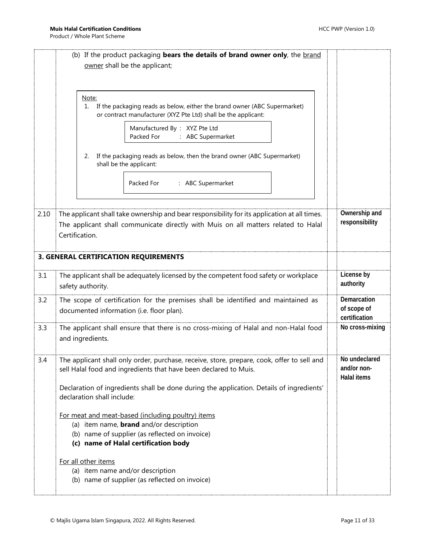<span id="page-10-0"></span>

|      | (b) If the product packaging bears the details of brand owner only, the brand<br>owner shall be the applicant;                                                                                                                                                                           |                                                    |
|------|------------------------------------------------------------------------------------------------------------------------------------------------------------------------------------------------------------------------------------------------------------------------------------------|----------------------------------------------------|
|      | Note:<br>If the packaging reads as below, either the brand owner (ABC Supermarket)<br>1.<br>or contract manufacturer (XYZ Pte Ltd) shall be the applicant:                                                                                                                               |                                                    |
|      | Manufactured By: XYZ Pte Ltd<br>Packed For<br>: ABC Supermarket                                                                                                                                                                                                                          |                                                    |
|      | If the packaging reads as below, then the brand owner (ABC Supermarket)<br>2.<br>shall be the applicant:                                                                                                                                                                                 |                                                    |
|      | : ABC Supermarket<br>Packed For                                                                                                                                                                                                                                                          |                                                    |
| 2.10 | The applicant shall take ownership and bear responsibility for its application at all times.<br>The applicant shall communicate directly with Muis on all matters related to Halal<br>Certification.                                                                                     | Ownership and<br>responsibility                    |
|      | 3. GENERAL CERTIFICATION REQUIREMENTS                                                                                                                                                                                                                                                    |                                                    |
| 3.1  | The applicant shall be adequately licensed by the competent food safety or workplace<br>safety authority.                                                                                                                                                                                | License by<br>authority                            |
| 3.2  | The scope of certification for the premises shall be identified and maintained as<br>documented information (i.e. floor plan).                                                                                                                                                           | Demarcation<br>of scope of<br>certification        |
| 3.3  | The applicant shall ensure that there is no cross-mixing of Halal and non-Halal food<br>and ingredients.                                                                                                                                                                                 | No cross-mixing                                    |
| 3.4  | The applicant shall only order, purchase, receive, store, prepare, cook, offer to sell and<br>sell Halal food and ingredients that have been declared to Muis.<br>Declaration of ingredients shall be done during the application. Details of ingredients'<br>declaration shall include: | No undeclared<br>and/or non-<br><b>Halal items</b> |
|      | For meat and meat-based (including poultry) items<br>(a) item name, <b>brand</b> and/or description<br>(b) name of supplier (as reflected on invoice)<br>(c) name of Halal certification body                                                                                            |                                                    |
|      | For all other items<br>(a) item name and/or description<br>(b) name of supplier (as reflected on invoice)                                                                                                                                                                                |                                                    |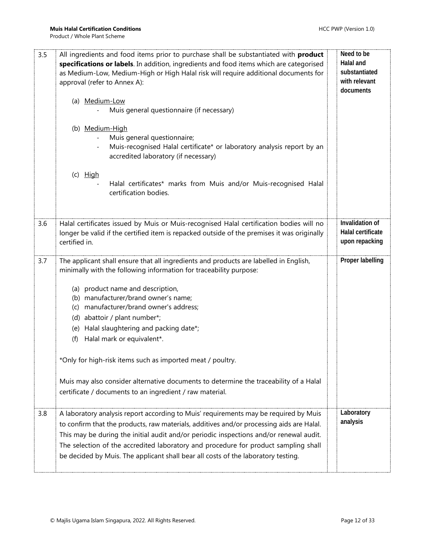| 3.5 | All ingredients and food items prior to purchase shall be substantiated with <b>product</b><br>specifications or labels. In addition, ingredients and food items which are categorised<br>as Medium-Low, Medium-High or High Halal risk will require additional documents for<br>approval (refer to Annex A):<br>(a) Medium-Low<br>Muis general questionnaire (if necessary)<br>(b) Medium-High<br>Muis general questionnaire;<br>Muis-recognised Halal certificate* or laboratory analysis report by an<br>accredited laboratory (if necessary)<br>$(c)$ High                                                            | Need to be<br>Halal and<br>substantiated<br>with relevant<br>documents |
|-----|---------------------------------------------------------------------------------------------------------------------------------------------------------------------------------------------------------------------------------------------------------------------------------------------------------------------------------------------------------------------------------------------------------------------------------------------------------------------------------------------------------------------------------------------------------------------------------------------------------------------------|------------------------------------------------------------------------|
|     | Halal certificates* marks from Muis and/or Muis-recognised Halal<br>certification bodies.                                                                                                                                                                                                                                                                                                                                                                                                                                                                                                                                 |                                                                        |
| 3.6 | Halal certificates issued by Muis or Muis-recognised Halal certification bodies will no<br>longer be valid if the certified item is repacked outside of the premises it was originally<br>certified in.                                                                                                                                                                                                                                                                                                                                                                                                                   | Invalidation of<br>Halal certificate<br>upon repacking                 |
| 3.7 | The applicant shall ensure that all ingredients and products are labelled in English,<br>minimally with the following information for traceability purpose:<br>(a) product name and description,<br>(b) manufacturer/brand owner's name;<br>(c) manufacturer/brand owner's address;<br>(d) abattoir / plant number*;<br>(e) Halal slaughtering and packing date*;<br>Halal mark or equivalent*.<br>(f)<br>*Only for high-risk items such as imported meat / poultry.<br>Muis may also consider alternative documents to determine the traceability of a Halal<br>certificate / documents to an ingredient / raw material. | Proper labelling                                                       |
| 3.8 | A laboratory analysis report according to Muis' requirements may be required by Muis<br>to confirm that the products, raw materials, additives and/or processing aids are Halal.<br>This may be during the initial audit and/or periodic inspections and/or renewal audit.<br>The selection of the accredited laboratory and procedure for product sampling shall<br>be decided by Muis. The applicant shall bear all costs of the laboratory testing.                                                                                                                                                                    | Laboratory<br>analysis                                                 |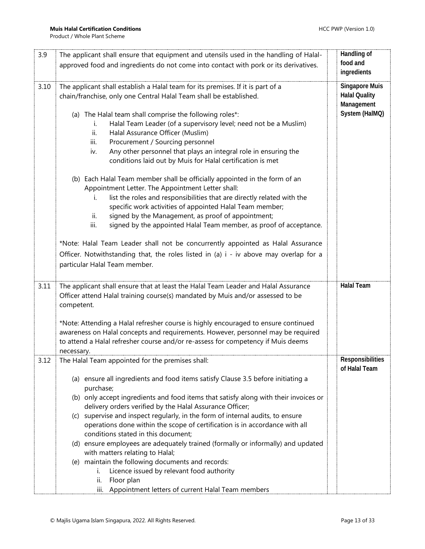| 3.9  | The applicant shall ensure that equipment and utensils used in the handling of Halal-                                                                                                                                                                                                                                                                                                                                                                                                                                                                                                                                                                                                                                                                                                                                                                                                                                                                                                                                                  | Handling of                                                                   |
|------|----------------------------------------------------------------------------------------------------------------------------------------------------------------------------------------------------------------------------------------------------------------------------------------------------------------------------------------------------------------------------------------------------------------------------------------------------------------------------------------------------------------------------------------------------------------------------------------------------------------------------------------------------------------------------------------------------------------------------------------------------------------------------------------------------------------------------------------------------------------------------------------------------------------------------------------------------------------------------------------------------------------------------------------|-------------------------------------------------------------------------------|
|      | approved food and ingredients do not come into contact with pork or its derivatives.                                                                                                                                                                                                                                                                                                                                                                                                                                                                                                                                                                                                                                                                                                                                                                                                                                                                                                                                                   | food and<br>ingredients                                                       |
| 3.10 | The applicant shall establish a Halal team for its premises. If it is part of a<br>chain/franchise, only one Central Halal Team shall be established.<br>(a) The Halal team shall comprise the following roles*:<br>Halal Team Leader (of a supervisory level; need not be a Muslim)<br>i.<br>Halal Assurance Officer (Muslim)<br>ii.<br>Procurement / Sourcing personnel<br>iii.<br>Any other personnel that plays an integral role in ensuring the<br>iv.<br>conditions laid out by Muis for Halal certification is met<br>(b) Each Halal Team member shall be officially appointed in the form of an<br>Appointment Letter. The Appointment Letter shall:<br>list the roles and responsibilities that are directly related with the<br>i.<br>specific work activities of appointed Halal Team member;<br>signed by the Management, as proof of appointment;<br>ii.<br>signed by the appointed Halal Team member, as proof of acceptance.<br>iii.<br>*Note: Halal Team Leader shall not be concurrently appointed as Halal Assurance | <b>Singapore Muis</b><br><b>Halal Quality</b><br>Management<br>System (HalMQ) |
|      | Officer. Notwithstanding that, the roles listed in (a) i - iv above may overlap for a<br>particular Halal Team member.                                                                                                                                                                                                                                                                                                                                                                                                                                                                                                                                                                                                                                                                                                                                                                                                                                                                                                                 |                                                                               |
| 3.11 | The applicant shall ensure that at least the Halal Team Leader and Halal Assurance<br>Officer attend Halal training course(s) mandated by Muis and/or assessed to be<br>competent.                                                                                                                                                                                                                                                                                                                                                                                                                                                                                                                                                                                                                                                                                                                                                                                                                                                     | <b>Halal Team</b>                                                             |
|      | *Note: Attending a Halal refresher course is highly encouraged to ensure continued<br>awareness on Halal concepts and requirements. However, personnel may be required<br>to attend a Halal refresher course and/or re-assess for competency if Muis deems<br>necessary.                                                                                                                                                                                                                                                                                                                                                                                                                                                                                                                                                                                                                                                                                                                                                               |                                                                               |
| 3.12 | The Halal Team appointed for the premises shall:                                                                                                                                                                                                                                                                                                                                                                                                                                                                                                                                                                                                                                                                                                                                                                                                                                                                                                                                                                                       | Responsibilities<br>of Halal Team                                             |
|      | (a) ensure all ingredients and food items satisfy Clause 3.5 before initiating a<br>purchase;<br>(b) only accept ingredients and food items that satisfy along with their invoices or<br>delivery orders verified by the Halal Assurance Officer;<br>supervise and inspect regularly, in the form of internal audits, to ensure<br>(C)<br>operations done within the scope of certification is in accordance with all<br>conditions stated in this document;<br>(d) ensure employees are adequately trained (formally or informally) and updated<br>with matters relating to Halal;<br>(e) maintain the following documents and records:<br>Licence issued by relevant food authority<br>i.                                                                                                                                                                                                                                                                                                                                            |                                                                               |
|      | Floor plan<br>ii.<br>iii. Appointment letters of current Halal Team members                                                                                                                                                                                                                                                                                                                                                                                                                                                                                                                                                                                                                                                                                                                                                                                                                                                                                                                                                            |                                                                               |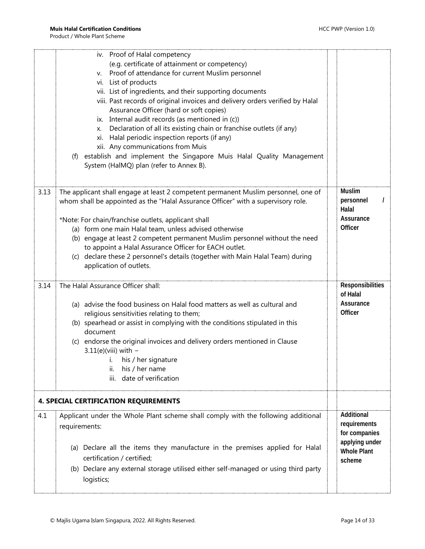<span id="page-13-0"></span>

|      | iv. Proof of Halal competency<br>(e.g. certificate of attainment or competency)<br>Proof of attendance for current Muslim personnel<br>V.<br>vi. List of products<br>vii. List of ingredients, and their supporting documents<br>viii. Past records of original invoices and delivery orders verified by Halal<br>Assurance Officer (hard or soft copies)<br>ix. Internal audit records (as mentioned in (c))<br>x. Declaration of all its existing chain or franchise outlets (if any) |                                                |
|------|-----------------------------------------------------------------------------------------------------------------------------------------------------------------------------------------------------------------------------------------------------------------------------------------------------------------------------------------------------------------------------------------------------------------------------------------------------------------------------------------|------------------------------------------------|
|      | xi. Halal periodic inspection reports (if any)                                                                                                                                                                                                                                                                                                                                                                                                                                          |                                                |
|      | xii. Any communications from Muis<br>establish and implement the Singapore Muis Halal Quality Management<br>(f)<br>System (HalMQ) plan (refer to Annex B).                                                                                                                                                                                                                                                                                                                              |                                                |
| 3.13 | The applicant shall engage at least 2 competent permanent Muslim personnel, one of<br>whom shall be appointed as the "Halal Assurance Officer" with a supervisory role.                                                                                                                                                                                                                                                                                                                 | <b>Muslim</b><br>personnel<br>Halal            |
|      | *Note: For chain/franchise outlets, applicant shall<br>(a) form one main Halal team, unless advised otherwise                                                                                                                                                                                                                                                                                                                                                                           | Assurance<br>Officer                           |
|      | (b) engage at least 2 competent permanent Muslim personnel without the need                                                                                                                                                                                                                                                                                                                                                                                                             |                                                |
|      | to appoint a Halal Assurance Officer for EACH outlet.                                                                                                                                                                                                                                                                                                                                                                                                                                   |                                                |
|      | (c) declare these 2 personnel's details (together with Main Halal Team) during<br>application of outlets.                                                                                                                                                                                                                                                                                                                                                                               |                                                |
| 3.14 | The Halal Assurance Officer shall:                                                                                                                                                                                                                                                                                                                                                                                                                                                      | Responsibilities                               |
|      | (a) advise the food business on Halal food matters as well as cultural and<br>religious sensitivities relating to them;<br>(b) spearhead or assist in complying with the conditions stipulated in this                                                                                                                                                                                                                                                                                  | of Halal<br>Assurance<br>Officer               |
|      | document                                                                                                                                                                                                                                                                                                                                                                                                                                                                                |                                                |
|      | (c) endorse the original invoices and delivery orders mentioned in Clause<br>$3.11(e)$ (viii) with -                                                                                                                                                                                                                                                                                                                                                                                    |                                                |
|      | i. his / her signature                                                                                                                                                                                                                                                                                                                                                                                                                                                                  |                                                |
|      | ii.<br>his / her name                                                                                                                                                                                                                                                                                                                                                                                                                                                                   |                                                |
|      |                                                                                                                                                                                                                                                                                                                                                                                                                                                                                         |                                                |
|      | date of verification<br>iii.                                                                                                                                                                                                                                                                                                                                                                                                                                                            |                                                |
|      | <b>4. SPECIAL CERTIFICATION REQUIREMENTS</b>                                                                                                                                                                                                                                                                                                                                                                                                                                            |                                                |
| 4.1  | Applicant under the Whole Plant scheme shall comply with the following additional<br>requirements:                                                                                                                                                                                                                                                                                                                                                                                      | Additional<br>requirements<br>for companies    |
|      | (a) Declare all the items they manufacture in the premises applied for Halal<br>certification / certified;<br>(b) Declare any external storage utilised either self-managed or using third party                                                                                                                                                                                                                                                                                        | applying under<br><b>Whole Plant</b><br>scheme |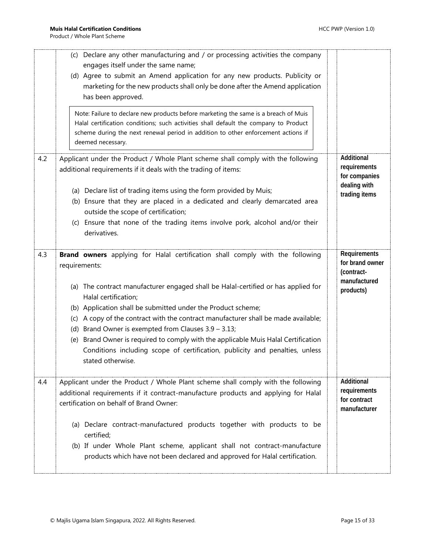|     | (c) Declare any other manufacturing and / or processing activities the company<br>engages itself under the same name;<br>(d) Agree to submit an Amend application for any new products. Publicity or<br>marketing for the new products shall only be done after the Amend application<br>has been approved.<br>Note: Failure to declare new products before marketing the same is a breach of Muis<br>Halal certification conditions; such activities shall default the company to Product<br>scheme during the next renewal period in addition to other enforcement actions if<br>deemed necessary.                       |                                                                              |
|-----|----------------------------------------------------------------------------------------------------------------------------------------------------------------------------------------------------------------------------------------------------------------------------------------------------------------------------------------------------------------------------------------------------------------------------------------------------------------------------------------------------------------------------------------------------------------------------------------------------------------------------|------------------------------------------------------------------------------|
| 4.2 | Applicant under the Product / Whole Plant scheme shall comply with the following<br>additional requirements if it deals with the trading of items:<br>(a) Declare list of trading items using the form provided by Muis;<br>(b) Ensure that they are placed in a dedicated and clearly demarcated area<br>outside the scope of certification;<br>(c) Ensure that none of the trading items involve pork, alcohol and/or their<br>derivatives.                                                                                                                                                                              | Additional<br>requirements<br>for companies<br>dealing with<br>trading items |
| 4.3 | Brand owners applying for Halal certification shall comply with the following<br>requirements:<br>(a) The contract manufacturer engaged shall be Halal-certified or has applied for<br>Halal certification;<br>(b) Application shall be submitted under the Product scheme;<br>A copy of the contract with the contract manufacturer shall be made available;<br>(c)<br>(d) Brand Owner is exempted from Clauses $3.9 - 3.13$ ;<br>(e) Brand Owner is required to comply with the applicable Muis Halal Certification<br>Conditions including scope of certification, publicity and penalties, unless<br>stated otherwise. | Requirements<br>for brand owner<br>(contract-<br>manufactured<br>products)   |
| 4.4 | Applicant under the Product / Whole Plant scheme shall comply with the following<br>additional requirements if it contract-manufacture products and applying for Halal<br>certification on behalf of Brand Owner:<br>(a) Declare contract-manufactured products together with products to be<br>certified;<br>(b) If under Whole Plant scheme, applicant shall not contract-manufacture<br>products which have not been declared and approved for Halal certification.                                                                                                                                                     | Additional<br>requirements<br>for contract<br>manufacturer                   |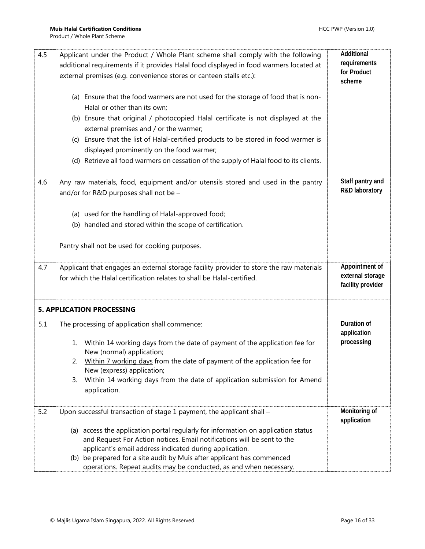<span id="page-15-0"></span>

| 4.5 | Applicant under the Product / Whole Plant scheme shall comply with the following<br>additional requirements if it provides Halal food displayed in food warmers located at<br>external premises (e.g. convenience stores or canteen stalls etc.): | Additional<br>requirements<br>for Product<br>scheme     |
|-----|---------------------------------------------------------------------------------------------------------------------------------------------------------------------------------------------------------------------------------------------------|---------------------------------------------------------|
|     | (a) Ensure that the food warmers are not used for the storage of food that is non-<br>Halal or other than its own;                                                                                                                                |                                                         |
|     | (b) Ensure that original / photocopied Halal certificate is not displayed at the<br>external premises and / or the warmer;                                                                                                                        |                                                         |
|     | (c) Ensure that the list of Halal-certified products to be stored in food warmer is<br>displayed prominently on the food warmer;                                                                                                                  |                                                         |
|     | (d) Retrieve all food warmers on cessation of the supply of Halal food to its clients.                                                                                                                                                            |                                                         |
| 4.6 | Any raw materials, food, equipment and/or utensils stored and used in the pantry                                                                                                                                                                  | Staff pantry and                                        |
|     | and/or for R&D purposes shall not be -                                                                                                                                                                                                            | R&D laboratory                                          |
|     | (a) used for the handling of Halal-approved food;                                                                                                                                                                                                 |                                                         |
|     | (b) handled and stored within the scope of certification.                                                                                                                                                                                         |                                                         |
|     | Pantry shall not be used for cooking purposes.                                                                                                                                                                                                    |                                                         |
| 4.7 | Applicant that engages an external storage facility provider to store the raw materials<br>for which the Halal certification relates to shall be Halal-certified.                                                                                 | Appointment of<br>external storage<br>facility provider |
|     | <b>5. APPLICATION PROCESSING</b>                                                                                                                                                                                                                  |                                                         |
| 5.1 | The processing of application shall commence:                                                                                                                                                                                                     | Duration of<br>application                              |
|     | Within 14 working days from the date of payment of the application fee for<br>1.<br>New (normal) application;                                                                                                                                     | processing                                              |
|     | Within 7 working days from the date of payment of the application fee for<br>2.<br>New (express) application;                                                                                                                                     |                                                         |
|     | Within 14 working days from the date of application submission for Amend<br>3.                                                                                                                                                                    |                                                         |
|     | application.                                                                                                                                                                                                                                      |                                                         |
| 5.2 | Upon successful transaction of stage 1 payment, the applicant shall -                                                                                                                                                                             | Monitoring of<br>application                            |
|     | (a) access the application portal regularly for information on application status<br>and Request For Action notices. Email notifications will be sent to the                                                                                      |                                                         |
|     | applicant's email address indicated during application.                                                                                                                                                                                           |                                                         |
|     | (b) be prepared for a site audit by Muis after applicant has commenced                                                                                                                                                                            |                                                         |
|     | operations. Repeat audits may be conducted, as and when necessary.                                                                                                                                                                                |                                                         |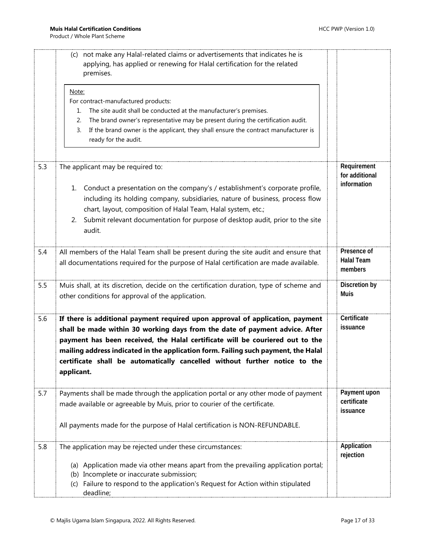|     | (c) not make any Halal-related claims or advertisements that indicates he is<br>applying, has applied or renewing for Halal certification for the related<br>premises.                                                                                                                                                                                                                                                          |                                              |
|-----|---------------------------------------------------------------------------------------------------------------------------------------------------------------------------------------------------------------------------------------------------------------------------------------------------------------------------------------------------------------------------------------------------------------------------------|----------------------------------------------|
|     | Note:<br>For contract-manufactured products:<br>The site audit shall be conducted at the manufacturer's premises.<br>1.<br>The brand owner's representative may be present during the certification audit.<br>2.<br>If the brand owner is the applicant, they shall ensure the contract manufacturer is<br>3.<br>ready for the audit.                                                                                           |                                              |
| 5.3 | The applicant may be required to:<br>Conduct a presentation on the company's / establishment's corporate profile,<br>1.<br>including its holding company, subsidiaries, nature of business, process flow<br>chart, layout, composition of Halal Team, Halal system, etc.;<br>Submit relevant documentation for purpose of desktop audit, prior to the site<br>2.<br>audit.                                                      | Requirement<br>for additional<br>information |
| 5.4 | All members of the Halal Team shall be present during the site audit and ensure that<br>all documentations required for the purpose of Halal certification are made available.                                                                                                                                                                                                                                                  | Presence of<br><b>Halal Team</b><br>members  |
| 5.5 | Muis shall, at its discretion, decide on the certification duration, type of scheme and<br>other conditions for approval of the application.                                                                                                                                                                                                                                                                                    | Discretion by<br><b>Muis</b>                 |
| 5.6 | If there is additional payment required upon approval of application, payment<br>shall be made within 30 working days from the date of payment advice. After<br>payment has been received, the Halal certificate will be couriered out to the<br>mailing address indicated in the application form. Failing such payment, the Halal<br>certificate shall be automatically cancelled without further notice to the<br>applicant. | Certificate<br>issuance                      |
| 5.7 | Payments shall be made through the application portal or any other mode of payment<br>made available or agreeable by Muis, prior to courier of the certificate.<br>All payments made for the purpose of Halal certification is NON-REFUNDABLE.                                                                                                                                                                                  | Payment upon<br>certificate<br>issuance      |
| 5.8 | The application may be rejected under these circumstances:<br>(a) Application made via other means apart from the prevailing application portal;<br>(b) Incomplete or inaccurate submission;<br>(c) Failure to respond to the application's Request for Action within stipulated<br>deadline;                                                                                                                                   | Application<br>rejection                     |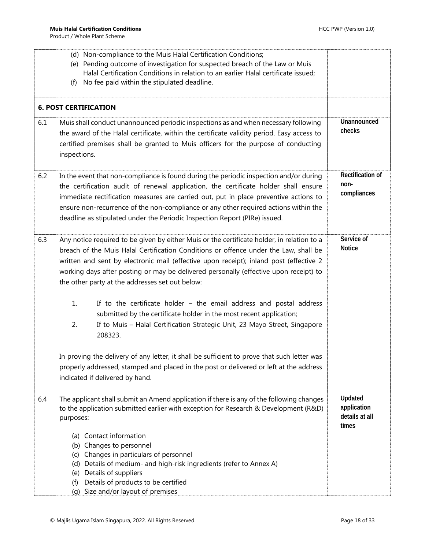<span id="page-17-0"></span>

|     | (d) Non-compliance to the Muis Halal Certification Conditions;<br>(e) Pending outcome of investigation for suspected breach of the Law or Muis<br>Halal Certification Conditions in relation to an earlier Halal certificate issued;<br>No fee paid within the stipulated deadline.<br>(f)                                                                                                                                                                                                                                                                                     |  |                                                   |  |  |  |  |  |
|-----|--------------------------------------------------------------------------------------------------------------------------------------------------------------------------------------------------------------------------------------------------------------------------------------------------------------------------------------------------------------------------------------------------------------------------------------------------------------------------------------------------------------------------------------------------------------------------------|--|---------------------------------------------------|--|--|--|--|--|
|     | <b>6. POST CERTIFICATION</b>                                                                                                                                                                                                                                                                                                                                                                                                                                                                                                                                                   |  |                                                   |  |  |  |  |  |
| 6.1 | Unannounced<br>Muis shall conduct unannounced periodic inspections as and when necessary following<br>checks<br>the award of the Halal certificate, within the certificate validity period. Easy access to<br>certified premises shall be granted to Muis officers for the purpose of conducting<br>inspections.                                                                                                                                                                                                                                                               |  |                                                   |  |  |  |  |  |
| 6.2 | <b>Rectification of</b><br>In the event that non-compliance is found during the periodic inspection and/or during<br>non-<br>the certification audit of renewal application, the certificate holder shall ensure<br>compliances<br>immediate rectification measures are carried out, put in place preventive actions to<br>ensure non-recurrence of the non-compliance or any other required actions within the<br>deadline as stipulated under the Periodic Inspection Report (PIRe) issued.                                                                                  |  |                                                   |  |  |  |  |  |
| 6.3 | Any notice required to be given by either Muis or the certificate holder, in relation to a<br>breach of the Muis Halal Certification Conditions or offence under the Law, shall be<br>written and sent by electronic mail (effective upon receipt); inland post (effective 2<br>working days after posting or may be delivered personally (effective upon receipt) to<br>the other party at the addresses set out below:<br>1.<br>If to the certificate holder $-$ the email address and postal address<br>submitted by the certificate holder in the most recent application; |  | Service of<br><b>Notice</b>                       |  |  |  |  |  |
|     | 2.<br>If to Muis - Halal Certification Strategic Unit, 23 Mayo Street, Singapore<br>208323.<br>In proving the delivery of any letter, it shall be sufficient to prove that such letter was<br>properly addressed, stamped and placed in the post or delivered or left at the address<br>indicated if delivered by hand.                                                                                                                                                                                                                                                        |  |                                                   |  |  |  |  |  |
| 6.4 | The applicant shall submit an Amend application if there is any of the following changes<br>to the application submitted earlier with exception for Research & Development (R&D)<br>purposes:<br>(a) Contact information                                                                                                                                                                                                                                                                                                                                                       |  | Updated<br>application<br>details at all<br>times |  |  |  |  |  |
|     | (b) Changes to personnel<br>Changes in particulars of personnel<br>(c)<br>Details of medium- and high-risk ingredients (refer to Annex A)<br>(d)<br>Details of suppliers<br>(e)<br>Details of products to be certified<br>(f)<br>(g) Size and/or layout of premises                                                                                                                                                                                                                                                                                                            |  |                                                   |  |  |  |  |  |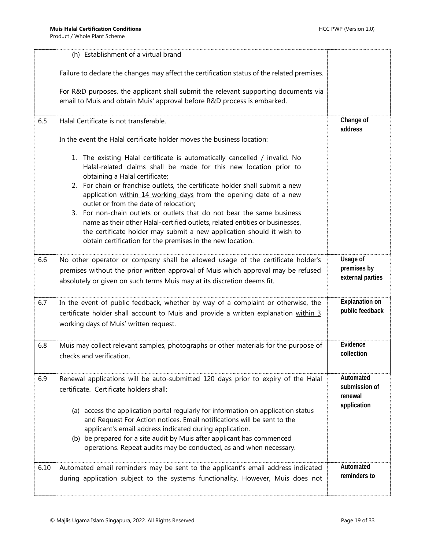|      | (h) Establishment of a virtual brand                                                                                                                                                                                                                                                                                                                                                                                                                                                                                                                                                                                                                                              |                                                      |
|------|-----------------------------------------------------------------------------------------------------------------------------------------------------------------------------------------------------------------------------------------------------------------------------------------------------------------------------------------------------------------------------------------------------------------------------------------------------------------------------------------------------------------------------------------------------------------------------------------------------------------------------------------------------------------------------------|------------------------------------------------------|
|      | Failure to declare the changes may affect the certification status of the related premises.                                                                                                                                                                                                                                                                                                                                                                                                                                                                                                                                                                                       |                                                      |
|      | For R&D purposes, the applicant shall submit the relevant supporting documents via<br>email to Muis and obtain Muis' approval before R&D process is embarked.                                                                                                                                                                                                                                                                                                                                                                                                                                                                                                                     |                                                      |
| 6.5  | Halal Certificate is not transferable.                                                                                                                                                                                                                                                                                                                                                                                                                                                                                                                                                                                                                                            | Change of<br>address                                 |
|      | In the event the Halal certificate holder moves the business location:                                                                                                                                                                                                                                                                                                                                                                                                                                                                                                                                                                                                            |                                                      |
|      | 1. The existing Halal certificate is automatically cancelled / invalid. No<br>Halal-related claims shall be made for this new location prior to<br>obtaining a Halal certificate;<br>2. For chain or franchise outlets, the certificate holder shall submit a new<br>application within 14 working days from the opening date of a new<br>outlet or from the date of relocation;<br>3. For non-chain outlets or outlets that do not bear the same business<br>name as their other Halal-certified outlets, related entities or businesses,<br>the certificate holder may submit a new application should it wish to<br>obtain certification for the premises in the new location. |                                                      |
| 6.6  | No other operator or company shall be allowed usage of the certificate holder's<br>premises without the prior written approval of Muis which approval may be refused<br>absolutely or given on such terms Muis may at its discretion deems fit.                                                                                                                                                                                                                                                                                                                                                                                                                                   | Usage of<br>premises by<br>external parties          |
| 6.7  | In the event of public feedback, whether by way of a complaint or otherwise, the<br>certificate holder shall account to Muis and provide a written explanation within 3<br>working days of Muis' written request.                                                                                                                                                                                                                                                                                                                                                                                                                                                                 | <b>Explanation on</b><br>public feedback             |
| 6.8  | Muis may collect relevant samples, photographs or other materials for the purpose of<br>checks and verification.                                                                                                                                                                                                                                                                                                                                                                                                                                                                                                                                                                  | Evidence<br>collection                               |
| 6.9  | Renewal applications will be auto-submitted 120 days prior to expiry of the Halal<br>certificate. Certificate holders shall:<br>(a) access the application portal regularly for information on application status<br>and Request For Action notices. Email notifications will be sent to the<br>applicant's email address indicated during application.<br>(b) be prepared for a site audit by Muis after applicant has commenced<br>operations. Repeat audits may be conducted, as and when necessary.                                                                                                                                                                           | Automated<br>submission of<br>renewal<br>application |
| 6.10 | Automated email reminders may be sent to the applicant's email address indicated<br>during application subject to the systems functionality. However, Muis does not                                                                                                                                                                                                                                                                                                                                                                                                                                                                                                               | Automated<br>reminders to                            |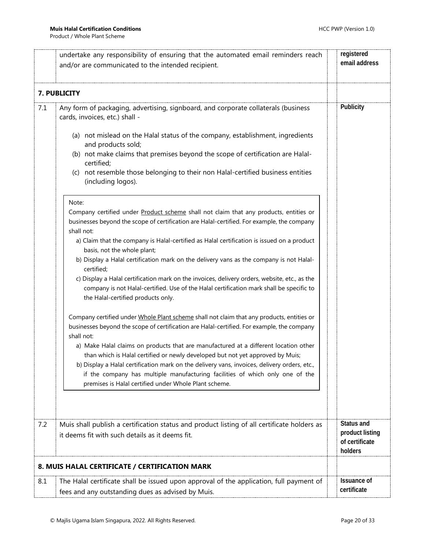<span id="page-19-1"></span><span id="page-19-0"></span>

|     | undertake any responsibility of ensuring that the automated email reminders reach<br>and/or are communicated to the intended recipient.                                                                                                                                                                                                                                                                                                                                                                                                                                                                                                                                             | registered<br>email address                                |
|-----|-------------------------------------------------------------------------------------------------------------------------------------------------------------------------------------------------------------------------------------------------------------------------------------------------------------------------------------------------------------------------------------------------------------------------------------------------------------------------------------------------------------------------------------------------------------------------------------------------------------------------------------------------------------------------------------|------------------------------------------------------------|
|     | 7. PUBLICITY                                                                                                                                                                                                                                                                                                                                                                                                                                                                                                                                                                                                                                                                        |                                                            |
| 7.1 | Any form of packaging, advertising, signboard, and corporate collaterals (business<br>cards, invoices, etc.) shall -                                                                                                                                                                                                                                                                                                                                                                                                                                                                                                                                                                | Publicity                                                  |
|     | (a) not mislead on the Halal status of the company, establishment, ingredients<br>and products sold;<br>(b) not make claims that premises beyond the scope of certification are Halal-<br>certified;<br>not resemble those belonging to their non Halal-certified business entities<br>(C)<br>(including logos).                                                                                                                                                                                                                                                                                                                                                                    |                                                            |
|     | Note:<br>Company certified under Product scheme shall not claim that any products, entities or<br>businesses beyond the scope of certification are Halal-certified. For example, the company<br>shall not:<br>a) Claim that the company is Halal-certified as Halal certification is issued on a product<br>basis, not the whole plant;<br>b) Display a Halal certification mark on the delivery vans as the company is not Halal-<br>certified;<br>c) Display a Halal certification mark on the invoices, delivery orders, website, etc., as the<br>company is not Halal-certified. Use of the Halal certification mark shall be specific to<br>the Halal-certified products only. |                                                            |
|     | Company certified under Whole Plant scheme shall not claim that any products, entities or<br>businesses beyond the scope of certification are Halal-certified. For example, the company<br>shall not:<br>a) Make Halal claims on products that are manufactured at a different location other<br>than which is Halal certified or newly developed but not yet approved by Muis;<br>b) Display a Halal certification mark on the delivery vans, invoices, delivery orders, etc.,<br>if the company has multiple manufacturing facilities of which only one of the<br>premises is Halal certified under Whole Plant scheme.                                                           |                                                            |
| 7.2 | Muis shall publish a certification status and product listing of all certificate holders as<br>it deems fit with such details as it deems fit.                                                                                                                                                                                                                                                                                                                                                                                                                                                                                                                                      | Status and<br>product listing<br>of certificate<br>holders |
|     | 8. MUIS HALAL CERTIFICATE / CERTIFICATION MARK                                                                                                                                                                                                                                                                                                                                                                                                                                                                                                                                                                                                                                      |                                                            |
| 8.1 | The Halal certificate shall be issued upon approval of the application, full payment of<br>fees and any outstanding dues as advised by Muis.                                                                                                                                                                                                                                                                                                                                                                                                                                                                                                                                        | <b>Issuance of</b><br>certificate                          |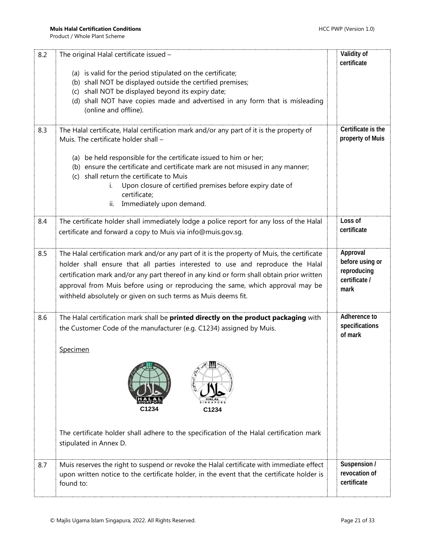| 8.2 | The original Halal certificate issued -                                                     | Validity of                  |
|-----|---------------------------------------------------------------------------------------------|------------------------------|
|     | (a) is valid for the period stipulated on the certificate;                                  | certificate                  |
|     | (b) shall NOT be displayed outside the certified premises;                                  |                              |
|     | shall NOT be displayed beyond its expiry date;<br>(c)                                       |                              |
|     | (d) shall NOT have copies made and advertised in any form that is misleading                |                              |
|     | (online and offline).                                                                       |                              |
|     |                                                                                             |                              |
| 8.3 | The Halal certificate, Halal certification mark and/or any part of it is the property of    | Certificate is the           |
|     | Muis. The certificate holder shall -                                                        | property of Muis             |
|     | (a) be held responsible for the certificate issued to him or her;                           |                              |
|     | (b) ensure the certificate and certificate mark are not misused in any manner;              |                              |
|     | (c) shall return the certificate to Muis                                                    |                              |
|     | Upon closure of certified premises before expiry date of<br>i.                              |                              |
|     | certificate;                                                                                |                              |
|     | Immediately upon demand.<br>ii.                                                             |                              |
| 8.4 | The certificate holder shall immediately lodge a police report for any loss of the Halal    | Loss of                      |
|     | certificate and forward a copy to Muis via info@muis.gov.sg.                                | certificate                  |
|     |                                                                                             |                              |
| 8.5 | The Halal certification mark and/or any part of it is the property of Muis, the certificate | Approval                     |
|     | holder shall ensure that all parties interested to use and reproduce the Halal              | before using or              |
|     | certification mark and/or any part thereof in any kind or form shall obtain prior written   | reproducing                  |
|     | approval from Muis before using or reproducing the same, which approval may be              | certificate /                |
|     | withheld absolutely or given on such terms as Muis deems fit.                               | mark                         |
|     |                                                                                             |                              |
| 8.6 | The Halal certification mark shall be printed directly on the product packaging with        | Adherence to                 |
|     | the Customer Code of the manufacturer (e.g. C1234) assigned by Muis.                        | specifications               |
|     |                                                                                             | of mark                      |
|     | Specimen                                                                                    |                              |
|     |                                                                                             |                              |
|     |                                                                                             |                              |
|     |                                                                                             |                              |
|     |                                                                                             |                              |
|     |                                                                                             |                              |
|     | C1234<br>C1234                                                                              |                              |
|     |                                                                                             |                              |
|     | The certificate holder shall adhere to the specification of the Halal certification mark    |                              |
|     | stipulated in Annex D.                                                                      |                              |
|     |                                                                                             |                              |
| 8.7 | Muis reserves the right to suspend or revoke the Halal certificate with immediate effect    | Suspension /                 |
|     | upon written notice to the certificate holder, in the event that the certificate holder is  | revocation of<br>certificate |
|     | found to:                                                                                   |                              |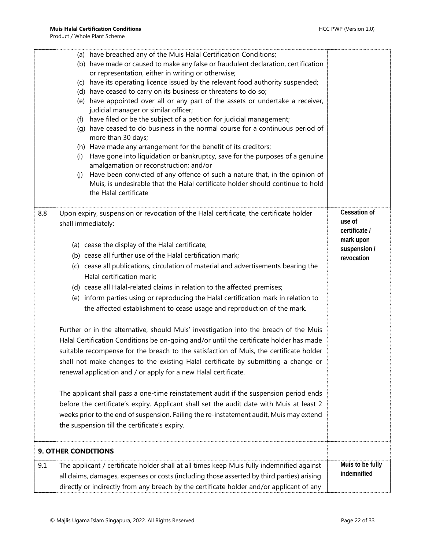<span id="page-21-0"></span>

|     | (a) have breached any of the Muis Halal Certification Conditions;<br>(b) have made or caused to make any false or fraudulent declaration, certification<br>or representation, either in writing or otherwise;<br>(c) have its operating licence issued by the relevant food authority suspended;<br>(d) have ceased to carry on its business or threatens to do so;<br>(e) have appointed over all or any part of the assets or undertake a receiver,<br>judicial manager or similar officer;<br>have filed or be the subject of a petition for judicial management;<br>(f)<br>(g) have ceased to do business in the normal course for a continuous period of<br>more than 30 days;<br>(h) Have made any arrangement for the benefit of its creditors;<br>Have gone into liquidation or bankruptcy, save for the purposes of a genuine<br>(i)<br>amalgamation or reconstruction; and/or<br>Have been convicted of any offence of such a nature that, in the opinion of<br>(i)<br>Muis, is undesirable that the Halal certificate holder should continue to hold<br>the Halal certificate                                                                                                                                                                                                                                                                               |                                                                                           |
|-----|------------------------------------------------------------------------------------------------------------------------------------------------------------------------------------------------------------------------------------------------------------------------------------------------------------------------------------------------------------------------------------------------------------------------------------------------------------------------------------------------------------------------------------------------------------------------------------------------------------------------------------------------------------------------------------------------------------------------------------------------------------------------------------------------------------------------------------------------------------------------------------------------------------------------------------------------------------------------------------------------------------------------------------------------------------------------------------------------------------------------------------------------------------------------------------------------------------------------------------------------------------------------------------------------------------------------------------------------------------------------|-------------------------------------------------------------------------------------------|
| 8.8 | Upon expiry, suspension or revocation of the Halal certificate, the certificate holder<br>shall immediately:<br>(a) cease the display of the Halal certificate;<br>(b) cease all further use of the Halal certification mark;<br>(c) cease all publications, circulation of material and advertisements bearing the<br>Halal certification mark;<br>(d) cease all Halal-related claims in relation to the affected premises;<br>(e) inform parties using or reproducing the Halal certification mark in relation to<br>the affected establishment to cease usage and reproduction of the mark.<br>Further or in the alternative, should Muis' investigation into the breach of the Muis<br>Halal Certification Conditions be on-going and/or until the certificate holder has made<br>suitable recompense for the breach to the satisfaction of Muis, the certificate holder<br>shall not make changes to the existing Halal certificate by submitting a change or<br>renewal application and / or apply for a new Halal certificate.<br>The applicant shall pass a one-time reinstatement audit if the suspension period ends<br>before the certificate's expiry. Applicant shall set the audit date with Muis at least 2<br>weeks prior to the end of suspension. Failing the re-instatement audit, Muis may extend<br>the suspension till the certificate's expiry. | <b>Cessation of</b><br>use of<br>certificate /<br>mark upon<br>suspension /<br>revocation |
|     | <b>9. OTHER CONDITIONS</b>                                                                                                                                                                                                                                                                                                                                                                                                                                                                                                                                                                                                                                                                                                                                                                                                                                                                                                                                                                                                                                                                                                                                                                                                                                                                                                                                             |                                                                                           |
| 9.1 | The applicant / certificate holder shall at all times keep Muis fully indemnified against<br>all claims, damages, expenses or costs (including those asserted by third parties) arising<br>directly or indirectly from any breach by the certificate holder and/or applicant of any                                                                                                                                                                                                                                                                                                                                                                                                                                                                                                                                                                                                                                                                                                                                                                                                                                                                                                                                                                                                                                                                                    | Muis to be fully<br>indemnified                                                           |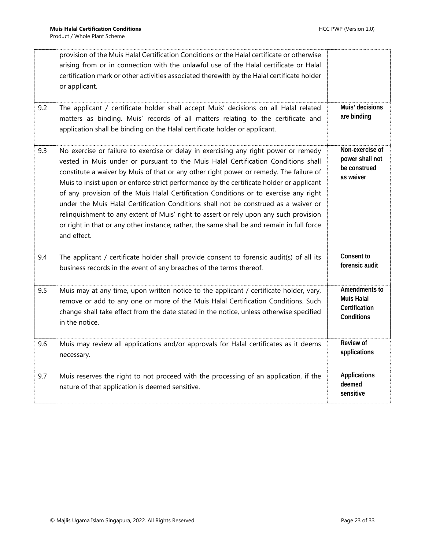|     | provision of the Muis Halal Certification Conditions or the Halal certificate or otherwise<br>arising from or in connection with the unlawful use of the Halal certificate or Halal<br>certification mark or other activities associated therewith by the Halal certificate holder<br>or applicant.                                                                                                                                                                                                                                                                                                                                                                                                                                                 |                                                                   |
|-----|-----------------------------------------------------------------------------------------------------------------------------------------------------------------------------------------------------------------------------------------------------------------------------------------------------------------------------------------------------------------------------------------------------------------------------------------------------------------------------------------------------------------------------------------------------------------------------------------------------------------------------------------------------------------------------------------------------------------------------------------------------|-------------------------------------------------------------------|
| 9.2 | The applicant / certificate holder shall accept Muis' decisions on all Halal related<br>matters as binding. Muis' records of all matters relating to the certificate and<br>application shall be binding on the Halal certificate holder or applicant.                                                                                                                                                                                                                                                                                                                                                                                                                                                                                              | Muis' decisions<br>are binding                                    |
| 9.3 | No exercise or failure to exercise or delay in exercising any right power or remedy<br>vested in Muis under or pursuant to the Muis Halal Certification Conditions shall<br>constitute a waiver by Muis of that or any other right power or remedy. The failure of<br>Muis to insist upon or enforce strict performance by the certificate holder or applicant<br>of any provision of the Muis Halal Certification Conditions or to exercise any right<br>under the Muis Halal Certification Conditions shall not be construed as a waiver or<br>relinquishment to any extent of Muis' right to assert or rely upon any such provision<br>or right in that or any other instance; rather, the same shall be and remain in full force<br>and effect. | Non-exercise of<br>power shall not<br>be construed<br>as waiver   |
| 9.4 | The applicant / certificate holder shall provide consent to forensic audit(s) of all its<br>business records in the event of any breaches of the terms thereof.                                                                                                                                                                                                                                                                                                                                                                                                                                                                                                                                                                                     | Consent to<br>forensic audit                                      |
| 9.5 | Muis may at any time, upon written notice to the applicant / certificate holder, vary,<br>remove or add to any one or more of the Muis Halal Certification Conditions. Such<br>change shall take effect from the date stated in the notice, unless otherwise specified<br>in the notice.                                                                                                                                                                                                                                                                                                                                                                                                                                                            | Amendments to<br><b>Muis Halal</b><br>Certification<br>Conditions |
| 9.6 | Muis may review all applications and/or approvals for Halal certificates as it deems<br>necessary.                                                                                                                                                                                                                                                                                                                                                                                                                                                                                                                                                                                                                                                  | <b>Review of</b><br>applications                                  |
| 9.7 | Muis reserves the right to not proceed with the processing of an application, if the<br>nature of that application is deemed sensitive.                                                                                                                                                                                                                                                                                                                                                                                                                                                                                                                                                                                                             | <b>Applications</b><br>deemed<br>sensitive                        |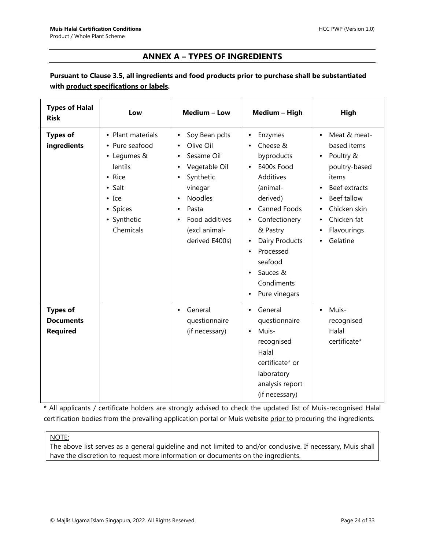## **ANNEX A – TYPES OF INGREDIENTS**

## <span id="page-23-0"></span>**Pursuant to Clause 3.5, all ingredients and food products prior to purchase shall be substantiated with product specifications or labels.**

| <b>Types of Halal</b><br><b>Risk</b>                   | Low                                                                                                                                                | Medium - Low                                                                                                                                                      | Medium - High                                                                                                                                                                                                                                                                                                     | High                                                                                                                                                                                                                          |
|--------------------------------------------------------|----------------------------------------------------------------------------------------------------------------------------------------------------|-------------------------------------------------------------------------------------------------------------------------------------------------------------------|-------------------------------------------------------------------------------------------------------------------------------------------------------------------------------------------------------------------------------------------------------------------------------------------------------------------|-------------------------------------------------------------------------------------------------------------------------------------------------------------------------------------------------------------------------------|
| <b>Types of</b><br>ingredients                         | • Plant materials<br>• Pure seafood<br>• Legumes &<br>lentils<br>• Rice<br>$\bullet$ Salt<br>$\bullet$ Ice<br>• Spices<br>• Synthetic<br>Chemicals | Soy Bean pdts<br>Olive Oil<br>Sesame Oil<br>Vegetable Oil<br>Synthetic<br>vinegar<br><b>Noodles</b><br>Pasta<br>Food additives<br>(excl animal-<br>derived E400s) | Enzymes<br>$\bullet$<br>Cheese &<br>byproducts<br>E400s Food<br>$\bullet$<br>Additives<br>(animal-<br>derived)<br>Canned Foods<br>Confectionery<br>$\bullet$<br>& Pastry<br>Dairy Products<br>$\bullet$<br>Processed<br>$\bullet$<br>seafood<br>Sauces &<br>$\bullet$<br>Condiments<br>Pure vinegars<br>$\bullet$ | Meat & meat-<br>$\bullet$<br>based items<br>Poultry &<br>$\bullet$<br>poultry-based<br>items<br>Beef extracts<br>$\bullet$<br>Beef tallow<br>$\bullet$<br>Chicken skin<br>Chicken fat<br>$\bullet$<br>Flavourings<br>Gelatine |
| <b>Types of</b><br><b>Documents</b><br><b>Required</b> |                                                                                                                                                    | General<br>٠<br>questionnaire<br>(if necessary)                                                                                                                   | General<br>$\bullet$<br>questionnaire<br>Muis-<br>$\bullet$<br>recognised<br>Halal<br>certificate* or<br>laboratory<br>analysis report<br>(if necessary)                                                                                                                                                          | Muis-<br>$\bullet$<br>recognised<br>Halal<br>certificate*                                                                                                                                                                     |

\* All applicants / certificate holders are strongly advised to check the updated list of Muis-recognised Halal certification bodies from the prevailing application portal or Muis website prior to procuring the ingredients.

#### NOTE:

The above list serves as a general guideline and not limited to and/or conclusive. If necessary, Muis shall have the discretion to request more information or documents on the ingredients.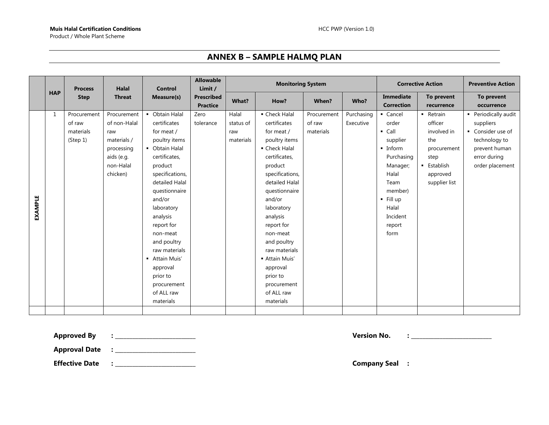## **ANNEX B – SAMPLE HALMQ PLAN**

<span id="page-24-0"></span>

|                |            | <b>Process</b>                                 | <b>Halal</b>                                                                                           | <b>Control</b>                                                                                                                                                                                                                                                                                                                         | <b>Allowable</b><br>Limit /          | <b>Monitoring System</b>               |                                                                                                                                                                                                                                                                                                                                      |                                    | <b>Corrective Action</b> | <b>Preventive Action</b>                                                                                                                                                   |                                                                                                                    |                                                                                                                             |
|----------------|------------|------------------------------------------------|--------------------------------------------------------------------------------------------------------|----------------------------------------------------------------------------------------------------------------------------------------------------------------------------------------------------------------------------------------------------------------------------------------------------------------------------------------|--------------------------------------|----------------------------------------|--------------------------------------------------------------------------------------------------------------------------------------------------------------------------------------------------------------------------------------------------------------------------------------------------------------------------------------|------------------------------------|--------------------------|----------------------------------------------------------------------------------------------------------------------------------------------------------------------------|--------------------------------------------------------------------------------------------------------------------|-----------------------------------------------------------------------------------------------------------------------------|
|                | <b>HAP</b> | <b>Step</b>                                    | <b>Threat</b>                                                                                          | Measure(s)                                                                                                                                                                                                                                                                                                                             | <b>Prescribed</b><br><b>Practice</b> | What?                                  | How?                                                                                                                                                                                                                                                                                                                                 | When?                              | Who?                     | Immediate<br><b>Correction</b>                                                                                                                                             | To prevent<br>recurrence                                                                                           | To prevent<br>occurrence                                                                                                    |
| <b>EXAMPLE</b> | 1          | Procurement<br>of raw<br>materials<br>(Step 1) | Procurement<br>of non-Halal<br>raw<br>materials /<br>processing<br>aids (e.g.<br>non-Halal<br>chicken) | • Obtain Halal<br>certificates<br>for meat /<br>poultry items<br>• Obtain Halal<br>certificates,<br>product<br>specifications,<br>detailed Halal<br>questionnaire<br>and/or<br>laboratory<br>analysis<br>report for<br>non-meat<br>and poultry<br>raw materials<br>- Attain Muis'<br>approval<br>prior to<br>procurement<br>of ALL raw | Zero<br>tolerance                    | Halal<br>status of<br>raw<br>materials | • Check Halal<br>certificates<br>for meat /<br>poultry items<br>• Check Halal<br>certificates,<br>product<br>specifications,<br>detailed Halal<br>questionnaire<br>and/or<br>laboratory<br>analysis<br>report for<br>non-meat<br>and poultry<br>raw materials<br>- Attain Muis'<br>approval<br>prior to<br>procurement<br>of ALL raw | Procurement<br>of raw<br>materials | Purchasing<br>Executive  | - Cancel<br>order<br>$\blacksquare$ Call<br>supplier<br>• Inform<br>Purchasing<br>Manager;<br>Halal<br>Team<br>member)<br>· Fill up<br>Halal<br>Incident<br>report<br>form | - Retrain<br>officer<br>involved in<br>the<br>procurement<br>step<br><b>Establish</b><br>approved<br>supplier list | • Periodically audit<br>suppliers<br>• Consider use of<br>technology to<br>prevent human<br>error during<br>order placement |
|                |            |                                                |                                                                                                        | materials                                                                                                                                                                                                                                                                                                                              |                                      |                                        | materials                                                                                                                                                                                                                                                                                                                            |                                    |                          |                                                                                                                                                                            |                                                                                                                    |                                                                                                                             |

**Approved By : \_\_\_\_\_\_\_\_\_\_\_\_\_\_\_\_\_\_\_\_\_\_\_\_\_\_\_\_ Version No. : \_\_\_\_\_\_\_\_\_\_\_\_\_\_\_\_\_\_\_\_\_\_\_\_\_\_\_\_**

**Approval Date : \_\_\_\_\_\_\_\_\_\_\_\_\_\_\_\_\_\_\_\_\_\_\_\_\_\_\_\_**

**Effective Date : \_\_\_\_\_\_\_\_\_\_\_\_\_\_\_\_\_\_\_\_\_\_\_\_\_\_\_\_ Company Seal :**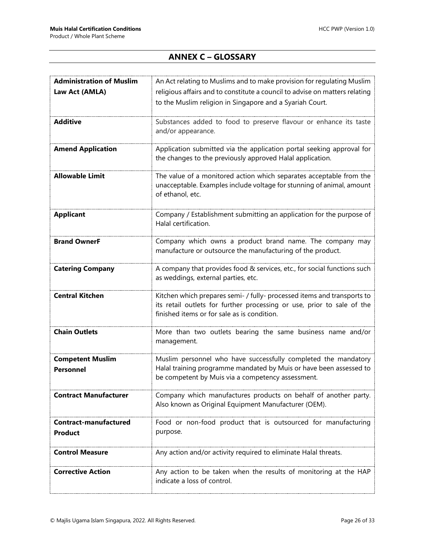## **ANNEX C – GLOSSARY**

<span id="page-25-0"></span>

| <b>Administration of Muslim</b> | An Act relating to Muslims and to make provision for regulating Muslim                                                                            |
|---------------------------------|---------------------------------------------------------------------------------------------------------------------------------------------------|
| Law Act (AMLA)                  | religious affairs and to constitute a council to advise on matters relating                                                                       |
|                                 | to the Muslim religion in Singapore and a Syariah Court.                                                                                          |
|                                 |                                                                                                                                                   |
| <b>Additive</b>                 | Substances added to food to preserve flavour or enhance its taste                                                                                 |
|                                 | and/or appearance.                                                                                                                                |
| <b>Amend Application</b>        | Application submitted via the application portal seeking approval for                                                                             |
|                                 | the changes to the previously approved Halal application.                                                                                         |
|                                 |                                                                                                                                                   |
| <b>Allowable Limit</b>          | The value of a monitored action which separates acceptable from the                                                                               |
|                                 | unacceptable. Examples include voltage for stunning of animal, amount                                                                             |
|                                 | of ethanol, etc.                                                                                                                                  |
| <b>Applicant</b>                | Company / Establishment submitting an application for the purpose of                                                                              |
|                                 | Halal certification.                                                                                                                              |
|                                 |                                                                                                                                                   |
| <b>Brand OwnerF</b>             | Company which owns a product brand name. The company may                                                                                          |
|                                 | manufacture or outsource the manufacturing of the product.                                                                                        |
| <b>Catering Company</b>         | A company that provides food & services, etc., for social functions such                                                                          |
|                                 | as weddings, external parties, etc.                                                                                                               |
|                                 |                                                                                                                                                   |
| <b>Central Kitchen</b>          | Kitchen which prepares semi- / fully- processed items and transports to<br>its retail outlets for further processing or use, prior to sale of the |
|                                 | finished items or for sale as is condition.                                                                                                       |
|                                 |                                                                                                                                                   |
| <b>Chain Outlets</b>            | More than two outlets bearing the same business name and/or                                                                                       |
|                                 | management.                                                                                                                                       |
| <b>Competent Muslim</b>         | Muslim personnel who have successfully completed the mandatory                                                                                    |
| <b>Personnel</b>                | Halal training programme mandated by Muis or have been assessed to                                                                                |
|                                 | be competent by Muis via a competency assessment.                                                                                                 |
|                                 |                                                                                                                                                   |
| <b>Contract Manufacturer</b>    | Company which manufactures products on behalf of another party.                                                                                   |
|                                 | Also known as Original Equipment Manufacturer (OEM).                                                                                              |
| <b>Contract-manufactured</b>    | Food or non-food product that is outsourced for manufacturing                                                                                     |
| <b>Product</b>                  | purpose.                                                                                                                                          |
|                                 |                                                                                                                                                   |
| <b>Control Measure</b>          | Any action and/or activity required to eliminate Halal threats.                                                                                   |
|                                 |                                                                                                                                                   |
| <b>Corrective Action</b>        | Any action to be taken when the results of monitoring at the HAP<br>indicate a loss of control.                                                   |
|                                 |                                                                                                                                                   |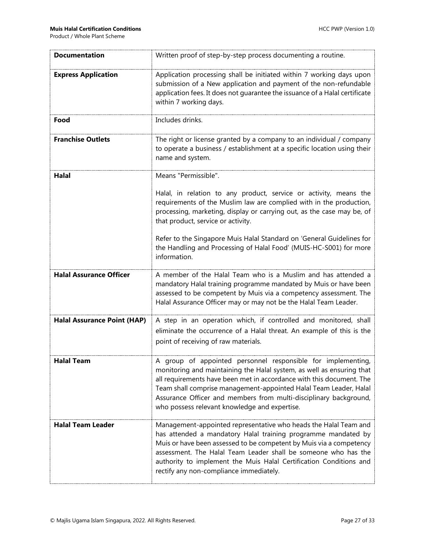| <b>Documentation</b>               | Written proof of step-by-step process documenting a routine.                                                                                                                                                                                                                                                                                                                                             |
|------------------------------------|----------------------------------------------------------------------------------------------------------------------------------------------------------------------------------------------------------------------------------------------------------------------------------------------------------------------------------------------------------------------------------------------------------|
| <b>Express Application</b>         | Application processing shall be initiated within 7 working days upon<br>submission of a New application and payment of the non-refundable<br>application fees. It does not guarantee the issuance of a Halal certificate<br>within 7 working days.                                                                                                                                                       |
| Food                               | Includes drinks.                                                                                                                                                                                                                                                                                                                                                                                         |
| <b>Franchise Outlets</b>           | The right or license granted by a company to an individual / company<br>to operate a business / establishment at a specific location using their<br>name and system.                                                                                                                                                                                                                                     |
| <b>Halal</b>                       | Means "Permissible".                                                                                                                                                                                                                                                                                                                                                                                     |
|                                    | Halal, in relation to any product, service or activity, means the<br>requirements of the Muslim law are complied with in the production,<br>processing, marketing, display or carrying out, as the case may be, of<br>that product, service or activity.                                                                                                                                                 |
|                                    | Refer to the Singapore Muis Halal Standard on 'General Guidelines for<br>the Handling and Processing of Halal Food' (MUIS-HC-S001) for more<br>information.                                                                                                                                                                                                                                              |
| <b>Halal Assurance Officer</b>     | A member of the Halal Team who is a Muslim and has attended a<br>mandatory Halal training programme mandated by Muis or have been<br>assessed to be competent by Muis via a competency assessment. The<br>Halal Assurance Officer may or may not be the Halal Team Leader.                                                                                                                               |
| <b>Halal Assurance Point (HAP)</b> | A step in an operation which, if controlled and monitored, shall<br>eliminate the occurrence of a Halal threat. An example of this is the<br>point of receiving of raw materials.                                                                                                                                                                                                                        |
| <b>Halal Team</b>                  | A group of appointed personnel responsible for implementing,<br>monitoring and maintaining the Halal system, as well as ensuring that<br>all requirements have been met in accordance with this document. The<br>Team shall comprise management-appointed Halal Team Leader, Halal<br>Assurance Officer and members from multi-disciplinary background,<br>who possess relevant knowledge and expertise. |
| <b>Halal Team Leader</b>           | Management-appointed representative who heads the Halal Team and<br>has attended a mandatory Halal training programme mandated by<br>Muis or have been assessed to be competent by Muis via a competency<br>assessment. The Halal Team Leader shall be someone who has the<br>authority to implement the Muis Halal Certification Conditions and<br>rectify any non-compliance immediately.              |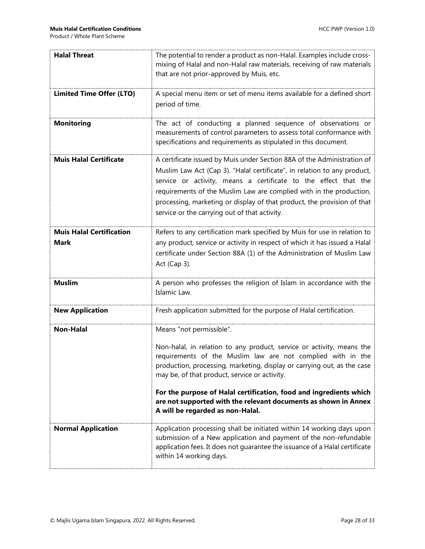| <b>Halal Threat</b>                            | The potential to render a product as non-Halal. Examples include cross-<br>mixing of Halal and non-Halal raw materials, receiving of raw materials<br>that are not prior-approved by Muis, etc.                                                                                                                                                                                                                           |
|------------------------------------------------|---------------------------------------------------------------------------------------------------------------------------------------------------------------------------------------------------------------------------------------------------------------------------------------------------------------------------------------------------------------------------------------------------------------------------|
| <b>Limited Time Offer (LTO)</b>                | A special menu item or set of menu items available for a defined short<br>period of time.                                                                                                                                                                                                                                                                                                                                 |
| <b>Monitoring</b>                              | The act of conducting a planned sequence of observations or<br>measurements of control parameters to assess total conformance with<br>specifications and requirements as stipulated in this document.                                                                                                                                                                                                                     |
| <b>Muis Halal Certificate</b>                  | A certificate issued by Muis under Section 88A of the Administration of<br>Muslim Law Act (Cap 3). "Halal certificate", in relation to any product,<br>service or activity, means a certificate to the effect that the<br>requirements of the Muslim Law are complied with in the production,<br>processing, marketing or display of that product, the provision of that<br>service or the carrying out of that activity. |
| <b>Muis Halal Certification</b><br><b>Mark</b> | Refers to any certification mark specified by Muis for use in relation to<br>any product, service or activity in respect of which it has issued a Halal<br>certificate under Section 88A (1) of the Administration of Muslim Law<br>Act (Cap 3).                                                                                                                                                                          |
| <b>Muslim</b>                                  | A person who professes the religion of Islam in accordance with the<br>Islamic Law.                                                                                                                                                                                                                                                                                                                                       |
| <b>New Application</b>                         | Fresh application submitted for the purpose of Halal certification.                                                                                                                                                                                                                                                                                                                                                       |
| <b>Non-Halal</b>                               | Means "not permissible".                                                                                                                                                                                                                                                                                                                                                                                                  |
|                                                | Non-halal, in relation to any product, service or activity, means the<br>requirements of the Muslim law are not complied with in the<br>production, processing, marketing, display or carrying out, as the case<br>may be, of that product, service or activity.                                                                                                                                                          |
|                                                | For the purpose of Halal certification, food and ingredients which<br>are not supported with the relevant documents as shown in Annex<br>A will be regarded as non-Halal.                                                                                                                                                                                                                                                 |
| <b>Normal Application</b>                      | Application processing shall be initiated within 14 working days upon<br>submission of a New application and payment of the non-refundable<br>application fees. It does not guarantee the issuance of a Halal certificate<br>within 14 working days.                                                                                                                                                                      |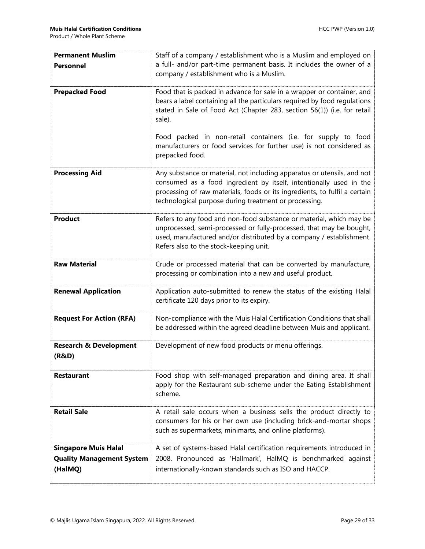| <b>Permanent Muslim</b><br><b>Personnel</b>                                | Staff of a company / establishment who is a Muslim and employed on<br>a full- and/or part-time permanent basis. It includes the owner of a<br>company / establishment who is a Muslim.                                                                                               |  |  |
|----------------------------------------------------------------------------|--------------------------------------------------------------------------------------------------------------------------------------------------------------------------------------------------------------------------------------------------------------------------------------|--|--|
| <b>Prepacked Food</b>                                                      | Food that is packed in advance for sale in a wrapper or container, and<br>bears a label containing all the particulars required by food regulations<br>stated in Sale of Food Act (Chapter 283, section 56(1)) (i.e. for retail<br>sale).                                            |  |  |
|                                                                            | Food packed in non-retail containers (i.e. for supply to food<br>manufacturers or food services for further use) is not considered as<br>prepacked food.                                                                                                                             |  |  |
| <b>Processing Aid</b>                                                      | Any substance or material, not including apparatus or utensils, and not<br>consumed as a food ingredient by itself, intentionally used in the<br>processing of raw materials, foods or its ingredients, to fulfil a certain<br>technological purpose during treatment or processing. |  |  |
| <b>Product</b>                                                             | Refers to any food and non-food substance or material, which may be<br>unprocessed, semi-processed or fully-processed, that may be bought,<br>used, manufactured and/or distributed by a company / establishment.<br>Refers also to the stock-keeping unit.                          |  |  |
| <b>Raw Material</b>                                                        | Crude or processed material that can be converted by manufacture,<br>processing or combination into a new and useful product.                                                                                                                                                        |  |  |
| <b>Renewal Application</b>                                                 | Application auto-submitted to renew the status of the existing Halal<br>certificate 120 days prior to its expiry.                                                                                                                                                                    |  |  |
| <b>Request For Action (RFA)</b>                                            | Non-compliance with the Muis Halal Certification Conditions that shall<br>be addressed within the agreed deadline between Muis and applicant.                                                                                                                                        |  |  |
| <b>Research &amp; Development</b><br>(R&D)                                 | Development of new food products or menu offerings.                                                                                                                                                                                                                                  |  |  |
| <b>Restaurant</b>                                                          | Food shop with self-managed preparation and dining area. It shall<br>apply for the Restaurant sub-scheme under the Eating Establishment<br>scheme.                                                                                                                                   |  |  |
| <b>Retail Sale</b>                                                         | A retail sale occurs when a business sells the product directly to<br>consumers for his or her own use (including brick-and-mortar shops<br>such as supermarkets, minimarts, and online platforms).                                                                                  |  |  |
| <b>Singapore Muis Halal</b><br><b>Quality Management System</b><br>(HalMQ) | A set of systems-based Halal certification requirements introduced in<br>2008. Pronounced as 'Hallmark', HalMQ is benchmarked against<br>internationally-known standards such as ISO and HACCP.                                                                                      |  |  |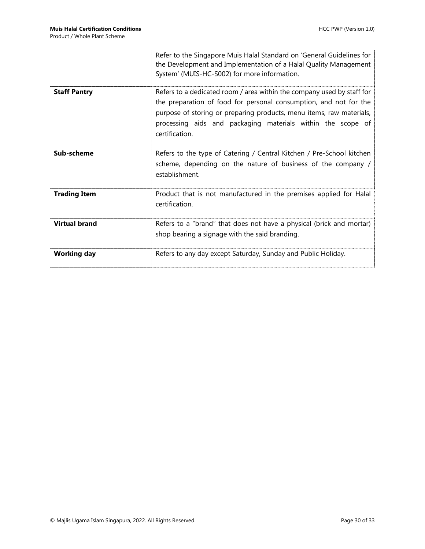|                      | Refer to the Singapore Muis Halal Standard on 'General Guidelines for<br>the Development and Implementation of a Halal Quality Management<br>System' (MUIS-HC-S002) for more information.                                                                                                            |  |  |
|----------------------|------------------------------------------------------------------------------------------------------------------------------------------------------------------------------------------------------------------------------------------------------------------------------------------------------|--|--|
| <b>Staff Pantry</b>  | Refers to a dedicated room / area within the company used by staff for<br>the preparation of food for personal consumption, and not for the<br>purpose of storing or preparing products, menu items, raw materials,<br>processing aids and packaging materials within the scope of<br>certification. |  |  |
| Sub-scheme           | Refers to the type of Catering / Central Kitchen / Pre-School kitchen<br>scheme, depending on the nature of business of the company /<br>establishment.                                                                                                                                              |  |  |
| <b>Trading Item</b>  | Product that is not manufactured in the premises applied for Halal<br>certification.                                                                                                                                                                                                                 |  |  |
| <b>Virtual brand</b> | Refers to a "brand" that does not have a physical (brick and mortar)<br>shop bearing a signage with the said branding.                                                                                                                                                                               |  |  |
| <b>Working day</b>   | Refers to any day except Saturday, Sunday and Public Holiday.                                                                                                                                                                                                                                        |  |  |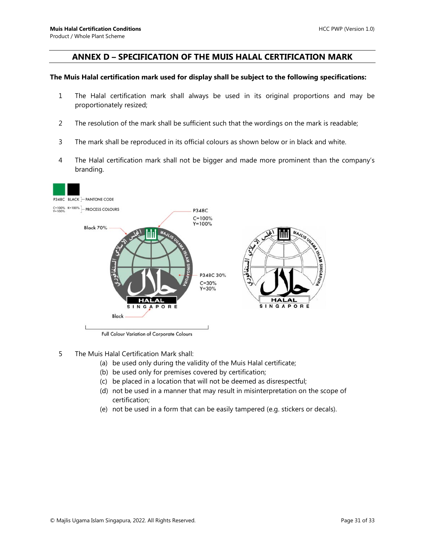#### <span id="page-30-0"></span>**ANNEX D – SPECIFICATION OF THE MUIS HALAL CERTIFICATION MARK**

#### **The Muis Halal certification mark used for display shall be subject to the following specifications:**

- 1 The Halal certification mark shall always be used in its original proportions and may be proportionately resized;
- 2 The resolution of the mark shall be sufficient such that the wordings on the mark is readable;
- 3 The mark shall be reproduced in its official colours as shown below or in black and white.
- 4 The Halal certification mark shall not be bigger and made more prominent than the company's branding.



Full Colour Variation of Corporate Colours

- 5 The Muis Halal Certification Mark shall:
	- (a) be used only during the validity of the Muis Halal certificate;
	- (b) be used only for premises covered by certification;
	- (c) be placed in a location that will not be deemed as disrespectful;
	- (d) not be used in a manner that may result in misinterpretation on the scope of certification;
	- (e) not be used in a form that can be easily tampered (e.g. stickers or decals).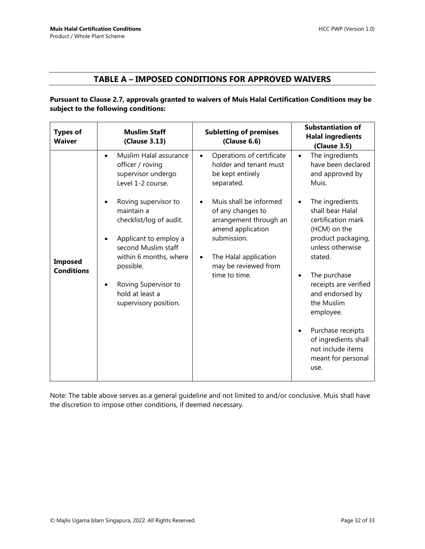### **TABLE A – IMPOSED CONDITIONS FOR APPROVED WAIVERS**

<span id="page-31-0"></span>**Pursuant to Clause 2.7, approvals granted to waivers of Muis Halal Certification Conditions may be subject to the following conditions:**

| <b>Types of</b><br><b>Waiver</b>    | <b>Muslim Staff</b><br>(Clause 3.13)                                                                                                                                                                                     | <b>Subletting of premises</b><br>(Clause 6.6)                                                                                                                                            | <b>Substantiation of</b><br><b>Halal ingredients</b><br><b>(Clause 3.5)</b>                                                                                                                                                                                                                                                                          |
|-------------------------------------|--------------------------------------------------------------------------------------------------------------------------------------------------------------------------------------------------------------------------|------------------------------------------------------------------------------------------------------------------------------------------------------------------------------------------|------------------------------------------------------------------------------------------------------------------------------------------------------------------------------------------------------------------------------------------------------------------------------------------------------------------------------------------------------|
|                                     | Muslim Halal assurance<br>$\bullet$<br>officer / roving<br>supervisor undergo<br>Level 1-2 course.                                                                                                                       | Operations of certificate<br>$\bullet$<br>holder and tenant must<br>be kept entirely<br>separated.                                                                                       | The ingredients<br>$\bullet$<br>have been declared<br>and approved by<br>Muis.                                                                                                                                                                                                                                                                       |
| <b>Imposed</b><br><b>Conditions</b> | Roving supervisor to<br>maintain a<br>checklist/log of audit.<br>Applicant to employ a<br>second Muslim staff<br>within 6 months, where<br>possible.<br>Roving Supervisor to<br>hold at least a<br>supervisory position. | Muis shall be informed<br>of any changes to<br>arrangement through an<br>amend application<br>submission.<br>The Halal application<br>$\bullet$<br>may be reviewed from<br>time to time. | The ingredients<br>$\bullet$<br>shall bear Halal<br>certification mark<br>(HCM) on the<br>product packaging,<br>unless otherwise<br>stated.<br>The purchase<br>٠<br>receipts are verified<br>and endorsed by<br>the Muslim<br>employee.<br>Purchase receipts<br>$\bullet$<br>of ingredients shall<br>not include items<br>meant for personal<br>use. |

Note: The table above serves as a general guideline and not limited to and/or conclusive. Muis shall have the discretion to impose other conditions, if deemed necessary.